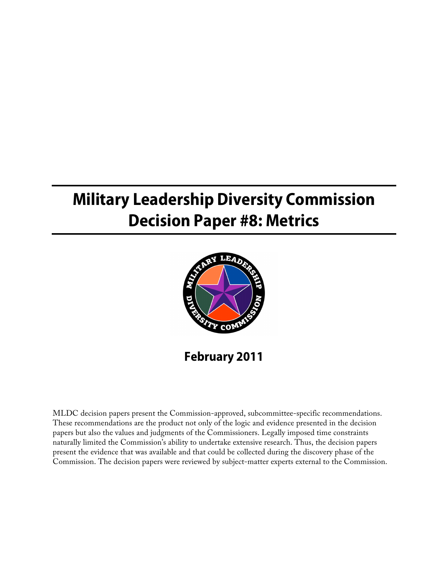# **Military Leadership Diversity Commission Decision Paper #8: Metrics**



**February 2011**

MLDC decision papers present the Commission-approved, subcommittee-specific recommendations. These recommendations are the product not only of the logic and evidence presented in the decision papers but also the values and judgments of the Commissioners. Legally imposed time constraints naturally limited the Commission's ability to undertake extensive research. Thus, the decision papers present the evidence that was available and that could be collected during the discovery phase of the Commission. The decision papers were reviewed by subject-matter experts external to the Commission.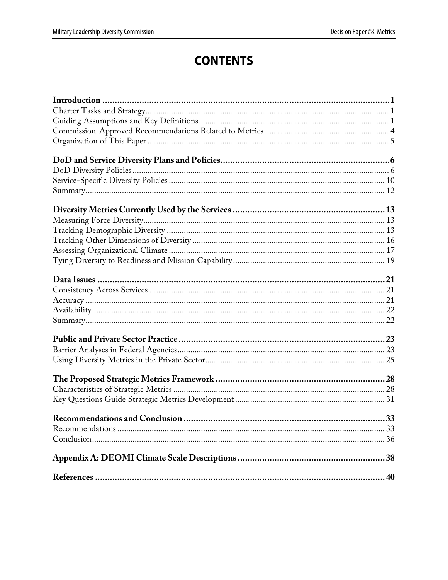# **CONTENTS**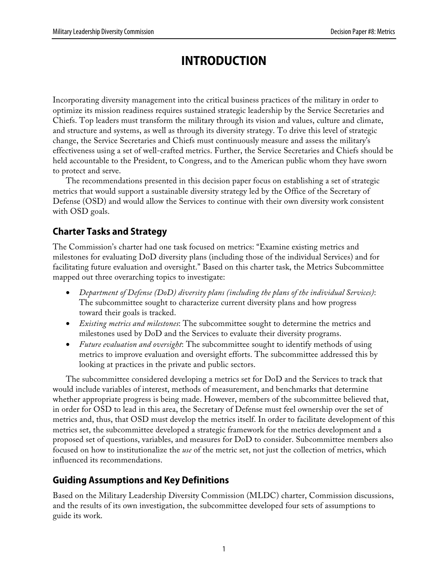# **INTRODUCTION**

Incorporating diversity management into the critical business practices of the military in order to optimize its mission readiness requires sustained strategic leadership by the Service Secretaries and Chiefs. Top leaders must transform the military through its vision and values, culture and climate, and structure and systems, as well as through its diversity strategy. To drive this level of strategic change, the Service Secretaries and Chiefs must continuously measure and assess the military's effectiveness using a set of well-crafted metrics. Further, the Service Secretaries and Chiefs should be held accountable to the President, to Congress, and to the American public whom they have sworn to protect and serve.

The recommendations presented in this decision paper focus on establishing a set of strategic metrics that would support a sustainable diversity strategy led by the Office of the Secretary of Defense (OSD) and would allow the Services to continue with their own diversity work consistent with OSD goals.

# **Charter Tasks and Strategy**

The Commission's charter had one task focused on metrics: "Examine existing metrics and milestones for evaluating DoD diversity plans (including those of the individual Services) and for facilitating future evaluation and oversight." Based on this charter task, the Metrics Subcommittee mapped out three overarching topics to investigate:

- *Department of Defense (DoD) diversity plans (including the plans of the individual Services)*: The subcommittee sought to characterize current diversity plans and how progress toward their goals is tracked.
- *Existing metrics and milestones*: The subcommittee sought to determine the metrics and milestones used by DoD and the Services to evaluate their diversity programs.
- *Future evaluation and oversight*: The subcommittee sought to identify methods of using metrics to improve evaluation and oversight efforts. The subcommittee addressed this by looking at practices in the private and public sectors.

The subcommittee considered developing a metrics set for DoD and the Services to track that would include variables of interest, methods of measurement, and benchmarks that determine whether appropriate progress is being made. However, members of the subcommittee believed that, in order for OSD to lead in this area, the Secretary of Defense must feel ownership over the set of metrics and, thus, that OSD must develop the metrics itself. In order to facilitate development of this metrics set, the subcommittee developed a strategic framework for the metrics development and a proposed set of questions, variables, and measures for DoD to consider. Subcommittee members also focused on how to institutionalize the *use* of the metric set, not just the collection of metrics, which influenced its recommendations.

# **Guiding Assumptions and Key Definitions**

Based on the Military Leadership Diversity Commission (MLDC) charter, Commission discussions, and the results of its own investigation, the subcommittee developed four sets of assumptions to guide its work.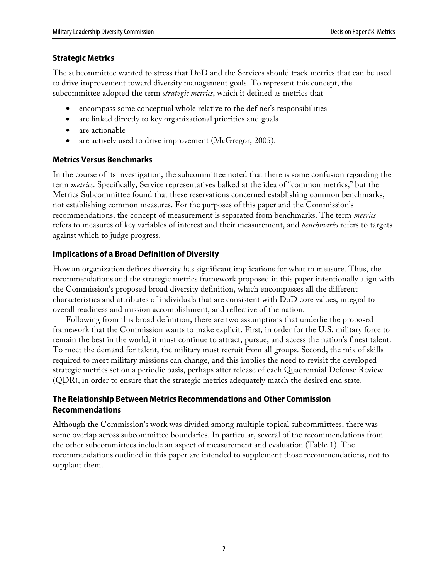### **Strategic Metrics**

The subcommittee wanted to stress that DoD and the Services should track metrics that can be used to drive improvement toward diversity management goals. To represent this concept, the subcommittee adopted the term *strategic metrics*, which it defined as metrics that

- encompass some conceptual whole relative to the definer's responsibilities
- are linked directly to key organizational priorities and goals
- are actionable
- are actively used to drive improvement (McGregor, 2005).

### **Metrics Versus Benchmarks**

In the course of its investigation, the subcommittee noted that there is some confusion regarding the term *metrics*. Specifically, Service representatives balked at the idea of "common metrics," but the Metrics Subcommittee found that these reservations concerned establishing common benchmarks, not establishing common measures. For the purposes of this paper and the Commission's recommendations, the concept of measurement is separated from benchmarks. The term *metrics* refers to measures of key variables of interest and their measurement, and *benchmarks* refers to targets against which to judge progress.

### **Implications of a Broad Definition of Diversity**

How an organization defines diversity has significant implications for what to measure. Thus, the recommendations and the strategic metrics framework proposed in this paper intentionally align with the Commission's proposed broad diversity definition, which encompasses all the different characteristics and attributes of individuals that are consistent with DoD core values, integral to overall readiness and mission accomplishment, and reflective of the nation.

Following from this broad definition, there are two assumptions that underlie the proposed framework that the Commission wants to make explicit. First, in order for the U.S. military force to remain the best in the world, it must continue to attract, pursue, and access the nation's finest talent. To meet the demand for talent, the military must recruit from all groups. Second, the mix of skills required to meet military missions can change, and this implies the need to revisit the developed strategic metrics set on a periodic basis, perhaps after release of each Quadrennial Defense Review (QDR), in order to ensure that the strategic metrics adequately match the desired end state.

### **The Relationship Between Metrics Recommendations and Other Commission Recommendations**

Although the Commission's work was divided among multiple topical subcommittees, there was some overlap across subcommittee boundaries. In particular, several of the recommendations from the other subcommittees include an aspect of measurement and evaluation (Table 1). The recommendations outlined in this paper are intended to supplement those recommendations, not to supplant them.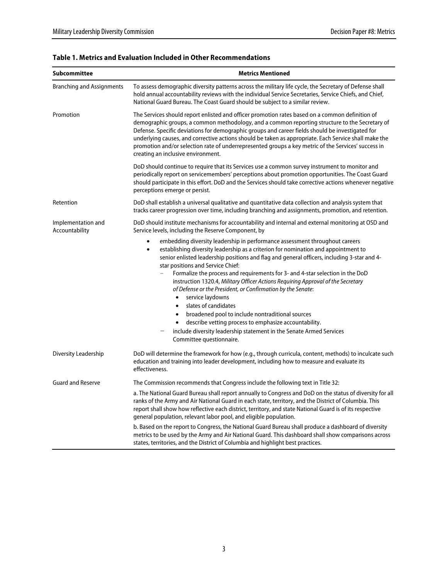| <b>Subcommittee</b>                                                                                                                                                                               | <b>Metrics Mentioned</b><br>To assess demographic diversity patterns across the military life cycle, the Secretary of Defense shall<br>hold annual accountability reviews with the individual Service Secretaries, Service Chiefs, and Chief,<br>National Guard Bureau. The Coast Guard should be subject to a similar review.                                                                                                                                                                                                                                                                                                                                                                                                                                                                                                                            |  |  |
|---------------------------------------------------------------------------------------------------------------------------------------------------------------------------------------------------|-----------------------------------------------------------------------------------------------------------------------------------------------------------------------------------------------------------------------------------------------------------------------------------------------------------------------------------------------------------------------------------------------------------------------------------------------------------------------------------------------------------------------------------------------------------------------------------------------------------------------------------------------------------------------------------------------------------------------------------------------------------------------------------------------------------------------------------------------------------|--|--|
| <b>Branching and Assignments</b>                                                                                                                                                                  |                                                                                                                                                                                                                                                                                                                                                                                                                                                                                                                                                                                                                                                                                                                                                                                                                                                           |  |  |
| Promotion                                                                                                                                                                                         | The Services should report enlisted and officer promotion rates based on a common definition of<br>demographic groups, a common methodology, and a common reporting structure to the Secretary of<br>Defense. Specific deviations for demographic groups and career fields should be investigated for<br>underlying causes, and corrective actions should be taken as appropriate. Each Service shall make the<br>promotion and/or selection rate of underrepresented groups a key metric of the Services' success in<br>creating an inclusive environment.                                                                                                                                                                                                                                                                                               |  |  |
|                                                                                                                                                                                                   | DoD should continue to require that its Services use a common survey instrument to monitor and<br>periodically report on servicemembers' perceptions about promotion opportunities. The Coast Guard<br>should participate in this effort. DoD and the Services should take corrective actions whenever negative<br>perceptions emerge or persist.                                                                                                                                                                                                                                                                                                                                                                                                                                                                                                         |  |  |
| Retention                                                                                                                                                                                         | DoD shall establish a universal qualitative and quantitative data collection and analysis system that<br>tracks career progression over time, including branching and assignments, promotion, and retention.                                                                                                                                                                                                                                                                                                                                                                                                                                                                                                                                                                                                                                              |  |  |
| Implementation and<br>DoD should institute mechanisms for accountability and internal and external monitoring at OSD and<br>Accountability<br>Service levels, including the Reserve Component, by |                                                                                                                                                                                                                                                                                                                                                                                                                                                                                                                                                                                                                                                                                                                                                                                                                                                           |  |  |
|                                                                                                                                                                                                   | embedding diversity leadership in performance assessment throughout careers<br>establishing diversity leadership as a criterion for nomination and appointment to<br>$\bullet$<br>senior enlisted leadership positions and flag and general officers, including 3-star and 4-<br>star positions and Service Chief:<br>Formalize the process and requirements for 3- and 4-star selection in the DoD<br>instruction 1320.4, Military Officer Actions Requiring Approval of the Secretary<br>of Defense or the President, or Confirmation by the Senate:<br>service laydowns<br>$\bullet$<br>slates of candidates<br>$\bullet$<br>broadened pool to include nontraditional sources<br>describe vetting process to emphasize accountability.<br>$\bullet$<br>include diversity leadership statement in the Senate Armed Services<br>Committee questionnaire. |  |  |
| Diversity Leadership                                                                                                                                                                              | DoD will determine the framework for how (e.g., through curricula, content, methods) to inculcate such<br>education and training into leader development, including how to measure and evaluate its<br>effectiveness.                                                                                                                                                                                                                                                                                                                                                                                                                                                                                                                                                                                                                                     |  |  |
| <b>Guard and Reserve</b>                                                                                                                                                                          | The Commission recommends that Congress include the following text in Title 32:                                                                                                                                                                                                                                                                                                                                                                                                                                                                                                                                                                                                                                                                                                                                                                           |  |  |
|                                                                                                                                                                                                   | a. The National Guard Bureau shall report annually to Congress and DoD on the status of diversity for all<br>ranks of the Army and Air National Guard in each state, territory, and the District of Columbia. This<br>report shall show how reflective each district, territory, and state National Guard is of its respective<br>general population, relevant labor pool, and eligible population.                                                                                                                                                                                                                                                                                                                                                                                                                                                       |  |  |
|                                                                                                                                                                                                   | b. Based on the report to Congress, the National Guard Bureau shall produce a dashboard of diversity<br>metrics to be used by the Army and Air National Guard. This dashboard shall show comparisons across<br>states, territories, and the District of Columbia and highlight best practices.                                                                                                                                                                                                                                                                                                                                                                                                                                                                                                                                                            |  |  |

### **Table 1. Metrics and Evaluation Included in Other Recommendations**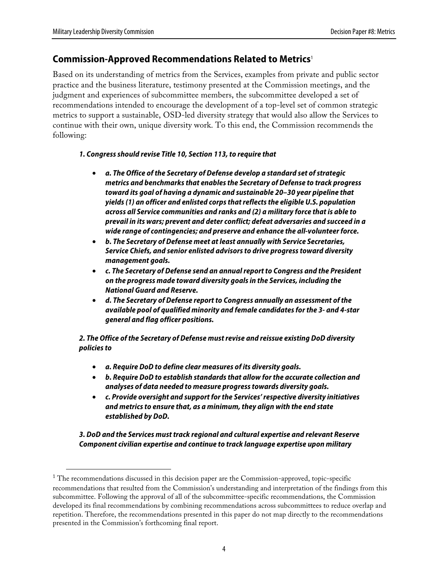### **Commission-Approved Recommendations Related to Metrics**<sup>1</sup>

Based on its understanding of metrics from the Services, examples from private and public sector practice and the business literature, testimony presented at the Commission meetings, and the judgment and experiences of subcommittee members, the subcommittee developed a set of recommendations intended to encourage the development of a top-level set of common strategic metrics to support a sustainable, OSD-led diversity strategy that would also allow the Services to continue with their own, unique diversity work. To this end, the Commission recommends the following:

### **1. Congress should revise Title 10, Section 113, to require that**

- **a. The Office of the Secretary of Defense develop a standard set of strategic metrics and benchmarks that enables the Secretary of Defense to track progress toward its goal of having a dynamic and sustainable 20–30 year pipeline that yields (1) an officer and enlisted corps that reflects the eligible U.S. population across all Service communities and ranks and (2) a military force that is able to prevail in its wars; prevent and deter conflict; defeat adversaries and succeed in a wide range of contingencies; and preserve and enhance the all-volunteer force.**
- **b. The Secretary of Defense meet at least annually with Service Secretaries, Service Chiefs, and senior enlisted advisors to drive progress toward diversity management goals.**
- **c. The Secretary of Defense send an annual report to Congress and the President on the progress made toward diversity goals in the Services, including the National Guard and Reserve.**
- **d. The Secretary of Defense report to Congress annually an assessment of the available pool of qualified minority and female candidates for the 3- and 4-star general and flag officer positions.**

**2. The Office of the Secretary of Defense must revise and reissue existing DoD diversity policies to**

- **a. Require DoD to define clear measures of its diversity goals.**
- **b. Require DoD to establish standards that allow for the accurate collection and analyses of data needed to measure progress towards diversity goals.**
- **c. Provide oversight and support for the Services' respective diversity initiatives and metrics to ensure that, as a minimum, they align with the end state established by DoD.**

**3. DoD and the Services must track regional and cultural expertise and relevant Reserve Component civilian expertise and continue to track language expertise upon military** 

The recommendations discussed in this decision paper are the Commission-approved, topic-specific recommendations that resulted from the Commission's understanding and interpretation of the findings from this subcommittee. Following the approval of all of the subcommittee-specific recommendations, the Commission developed its final recommendations by combining recommendations across subcommittees to reduce overlap and repetition. Therefore, the recommendations presented in this paper do not map directly to the recommendations presented in the Commission's forthcoming final report.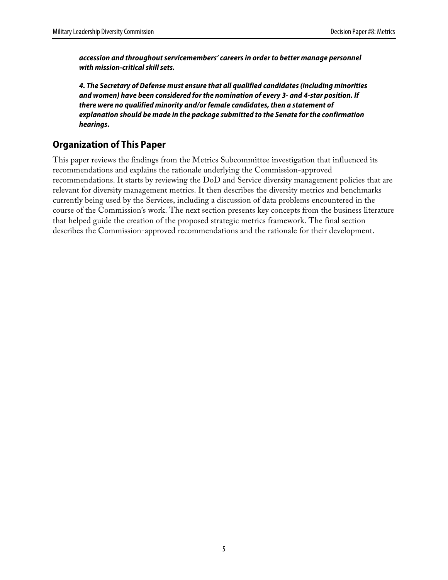**accession and throughout servicemembers' careers in order to better manage personnel with mission-critical skill sets.**

**4. The Secretary of Defense must ensure that all qualified candidates (including minorities and women) have been considered for the nomination of every 3- and 4-star position. If there were no qualified minority and/or female candidates, then a statement of explanation should be made in the package submitted to the Senate for the confirmation hearings.**

## **Organization of This Paper**

This paper reviews the findings from the Metrics Subcommittee investigation that influenced its recommendations and explains the rationale underlying the Commission-approved recommendations. It starts by reviewing the DoD and Service diversity management policies that are relevant for diversity management metrics. It then describes the diversity metrics and benchmarks currently being used by the Services, including a discussion of data problems encountered in the course of the Commission's work. The next section presents key concepts from the business literature that helped guide the creation of the proposed strategic metrics framework. The final section describes the Commission-approved recommendations and the rationale for their development.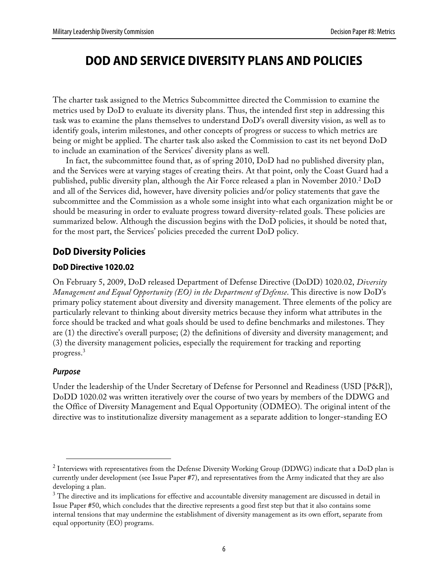# **DOD AND SERVICE DIVERSITY PLANS AND POLICIES**

The charter task assigned to the Metrics Subcommittee directed the Commission to examine the metrics used by DoD to evaluate its diversity plans. Thus, the intended first step in addressing this task was to examine the plans themselves to understand DoD's overall diversity vision, as well as to identify goals, interim milestones, and other concepts of progress or success to which metrics are being or might be applied. The charter task also asked the Commission to cast its net beyond DoD to include an examination of the Services' diversity plans as well.

In fact, the subcommittee found that, as of spring 2010, DoD had no published diversity plan, and the Services were at varying stages of creating theirs. At that point, only the Coast Guard had a published, public diversity plan, although the Air Force released a plan in November 2010. 2 DoD and all of the Services did, however, have diversity policies and/or policy statements that gave the subcommittee and the Commission as a whole some insight into what each organization might be or should be measuring in order to evaluate progress toward diversity-related goals. These policies are summarized below. Although the discussion begins with the DoD policies, it should be noted that, for the most part, the Services' policies preceded the current DoD policy.

### **DoD Diversity Policies**

### **DoD Directive 1020.02**

On February 5, 2009, DoD released Department of Defense Directive (DoDD) 1020.02, *Diversity Management and Equal Opportunity (EO) in the Department of Defense*. This directive is now DoD's primary policy statement about diversity and diversity management. Three elements of the policy are particularly relevant to thinking about diversity metrics because they inform what attributes in the force should be tracked and what goals should be used to define benchmarks and milestones. They are (1) the directive's overall purpose; (2) the definitions of diversity and diversity management; and (3) the diversity management policies, especially the requirement for tracking and reporting progress.3

### **Purpose**

Under the leadership of the Under Secretary of Defense for Personnel and Readiness (USD [P&R]), DoDD 1020.02 was written iteratively over the course of two years by members of the DDWG and the Office of Diversity Management and Equal Opportunity (ODMEO). The original intent of the directive was to institutionalize diversity management as a separate addition to longer-standing EO

 $\overline{\phantom{a}}^2$  Interviews with representatives from the Defense Diversity Working Group (DDWG) indicate that a DoD plan is currently under development (see Issue Paper #7), and representatives from the Army indicated that they are also developing a plan.

 $^3$  The directive and its implications for effective and accountable diversity management are discussed in detail in Issue Paper #50, which concludes that the directive represents a good first step but that it also contains some internal tensions that may undermine the establishment of diversity management as its own effort, separate from equal opportunity (EO) programs.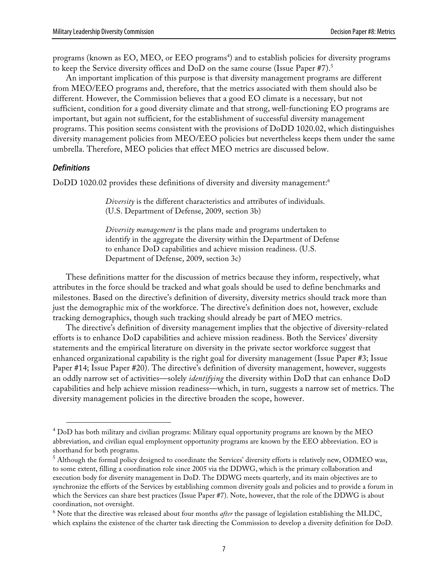programs (known as EO, MEO, or EEO programs<sup>4</sup>) and to establish policies for diversity programs to keep the Service diversity offices and DoD on the same course (Issue Paper #7).5

An important implication of this purpose is that diversity management programs are different from MEO/EEO programs and, therefore, that the metrics associated with them should also be different. However, the Commission believes that a good EO climate is a necessary, but not sufficient, condition for a good diversity climate and that strong, well-functioning EO programs are important, but again not sufficient, for the establishment of successful diversity management programs. This position seems consistent with the provisions of DoDD 1020.02, which distinguishes diversity management policies from MEO/EEO policies but nevertheless keeps them under the same umbrella. Therefore, MEO policies that effect MEO metrics are discussed below.

#### **Definitions**

DoDD 1020.02 provides these definitions of diversity and diversity management:<sup>6</sup>

*Diversity* is the different characteristics and attributes of individuals. (U.S. Department of Defense, 2009, section 3b)

*Diversity management* is the plans made and programs undertaken to identify in the aggregate the diversity within the Department of Defense to enhance DoD capabilities and achieve mission readiness. (U.S. Department of Defense, 2009, section 3c)

These definitions matter for the discussion of metrics because they inform, respectively, what attributes in the force should be tracked and what goals should be used to define benchmarks and milestones. Based on the directive's definition of diversity, diversity metrics should track more than just the demographic mix of the workforce. The directive's definition does not, however, exclude tracking demographics, though such tracking should already be part of MEO metrics.

The directive's definition of diversity management implies that the objective of diversity-related efforts is to enhance DoD capabilities and achieve mission readiness. Both the Services' diversity statements and the empirical literature on diversity in the private sector workforce suggest that enhanced organizational capability is the right goal for diversity management (Issue Paper #3; Issue Paper #14; Issue Paper #20). The directive's definition of diversity management, however, suggests an oddly narrow set of activities—solely *identifying* the diversity within DoD that can enhance DoD capabilities and help achieve mission readiness—which, in turn, suggests a narrow set of metrics. The diversity management policies in the directive broaden the scope, however.

 <sup>4</sup> DoD has both military and civilian programs: Military equal opportunity programs are known by the MEO abbreviation, and civilian equal employment opportunity programs are known by the EEO abbreviation. EO is shorthand for both programs.

 $^5$  Although the formal policy designed to coordinate the Services' diversity efforts is relatively new, ODMEO was, to some extent, filling a coordination role since 2005 via the DDWG, which is the primary collaboration and execution body for diversity management in DoD. The DDWG meets quarterly, and its main objectives are to synchronize the efforts of the Services by establishing common diversity goals and policies and to provide a forum in which the Services can share best practices (Issue Paper #7). Note, however, that the role of the DDWG is about coordination, not oversight.

<sup>6</sup> Note that the directive was released about four months *after* the passage of legislation establishing the MLDC, which explains the existence of the charter task directing the Commission to develop a diversity definition for DoD.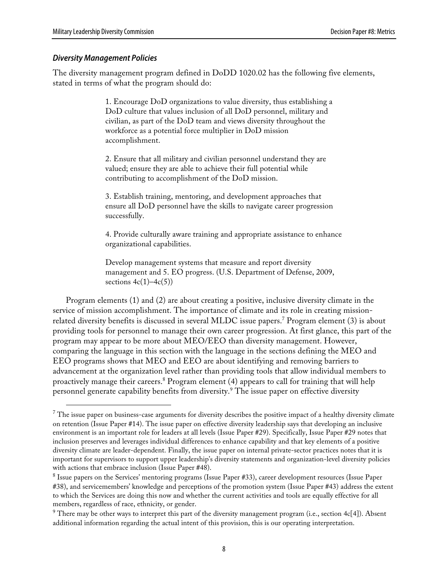#### **Diversity Management Policies**

The diversity management program defined in DoDD 1020.02 has the following five elements, stated in terms of what the program should do:

> 1. Encourage DoD organizations to value diversity, thus establishing a DoD culture that values inclusion of all DoD personnel, military and civilian, as part of the DoD team and views diversity throughout the workforce as a potential force multiplier in DoD mission accomplishment.

2. Ensure that all military and civilian personnel understand they are valued; ensure they are able to achieve their full potential while contributing to accomplishment of the DoD mission.

3. Establish training, mentoring, and development approaches that ensure all DoD personnel have the skills to navigate career progression successfully.

4. Provide culturally aware training and appropriate assistance to enhance organizational capabilities.

Develop management systems that measure and report diversity management and 5. EO progress. (U.S. Department of Defense, 2009, sections  $4c(1)$ – $4c(5)$ )

Program elements (1) and (2) are about creating a positive, inclusive diversity climate in the service of mission accomplishment. The importance of climate and its role in creating missionrelated diversity benefits is discussed in several MLDC issue papers. 7 Program element (3) is about providing tools for personnel to manage their own career progression. At first glance, this part of the program may appear to be more about MEO/EEO than diversity management. However, comparing the language in this section with the language in the sections defining the MEO and EEO programs shows that MEO and EEO are about identifying and removing barriers to advancement at the organization level rather than providing tools that allow individual members to proactively manage their careers.<sup>8</sup> Program element (4) appears to call for training that will help personnel generate capability benefits from diversity.<sup>9</sup> The issue paper on effective diversity

 $7$  The issue paper on business-case arguments for diversity describes the positive impact of a healthy diversity climate on retention (Issue Paper #14). The issue paper on effective diversity leadership says that developing an inclusive environment is an important role for leaders at all levels (Issue Paper #29). Specifically, Issue Paper #29 notes that inclusion preserves and leverages individual differences to enhance capability and that key elements of a positive diversity climate are leader-dependent. Finally, the issue paper on internal private-sector practices notes that it is important for supervisors to support upper leadership's diversity statements and organization-level diversity policies with actions that embrace inclusion (Issue Paper #48).

 $^8$  Issue papers on the Services' mentoring programs (Issue Paper #33), career development resources (Issue Paper #38), and servicemembers' knowledge and perceptions of the promotion system (Issue Paper #43) address the extent to which the Services are doing this now and whether the current activities and tools are equally effective for all members, regardless of race, ethnicity, or gender.

 $9$  There may be other ways to interpret this part of the diversity management program (i.e., section 4c[4]). Absent additional information regarding the actual intent of this provision, this is our operating interpretation.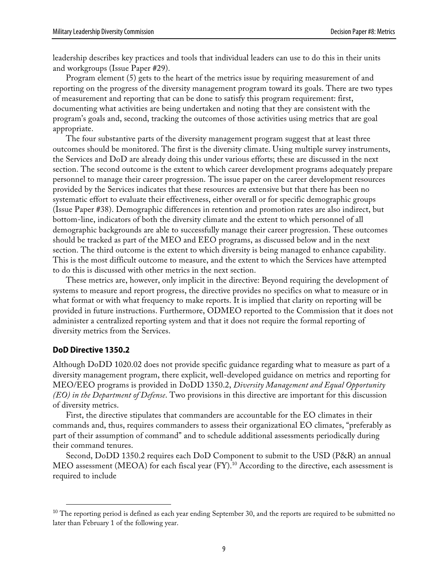leadership describes key practices and tools that individual leaders can use to do this in their units and workgroups (Issue Paper #29).

Program element (5) gets to the heart of the metrics issue by requiring measurement of and reporting on the progress of the diversity management program toward its goals. There are two types of measurement and reporting that can be done to satisfy this program requirement: first, documenting what activities are being undertaken and noting that they are consistent with the program's goals and, second, tracking the outcomes of those activities using metrics that are goal appropriate.

The four substantive parts of the diversity management program suggest that at least three outcomes should be monitored. The first is the diversity climate. Using multiple survey instruments, the Services and DoD are already doing this under various efforts; these are discussed in the next section. The second outcome is the extent to which career development programs adequately prepare personnel to manage their career progression. The issue paper on the career development resources provided by the Services indicates that these resources are extensive but that there has been no systematic effort to evaluate their effectiveness, either overall or for specific demographic groups (Issue Paper #38). Demographic differences in retention and promotion rates are also indirect, but bottom-line, indicators of both the diversity climate and the extent to which personnel of all demographic backgrounds are able to successfully manage their career progression. These outcomes should be tracked as part of the MEO and EEO programs, as discussed below and in the next section. The third outcome is the extent to which diversity is being managed to enhance capability. This is the most difficult outcome to measure, and the extent to which the Services have attempted to do this is discussed with other metrics in the next section.

These metrics are, however, only implicit in the directive: Beyond requiring the development of systems to measure and report progress, the directive provides no specifics on what to measure or in what format or with what frequency to make reports. It is implied that clarity on reporting will be provided in future instructions. Furthermore, ODMEO reported to the Commission that it does not administer a centralized reporting system and that it does not require the formal reporting of diversity metrics from the Services.

#### **DoD Directive 1350.2**

Although DoDD 1020.02 does not provide specific guidance regarding what to measure as part of a diversity management program, there explicit, well-developed guidance on metrics and reporting for MEO/EEO programs is provided in DoDD 1350.2, *Diversity Management and Equal Opportunity (EO) in the Department of Defense*. Two provisions in this directive are important for this discussion of diversity metrics.

First, the directive stipulates that commanders are accountable for the EO climates in their commands and, thus, requires commanders to assess their organizational EO climates, "preferably as part of their assumption of command" and to schedule additional assessments periodically during their command tenures.

Second, DoDD 1350.2 requires each DoD Component to submit to the USD (P&R) an annual MEO assessment (MEOA) for each fiscal year (FY).<sup>10</sup> According to the directive, each assessment is required to include

 $10$  The reporting period is defined as each year ending September 30, and the reports are required to be submitted no later than February 1 of the following year.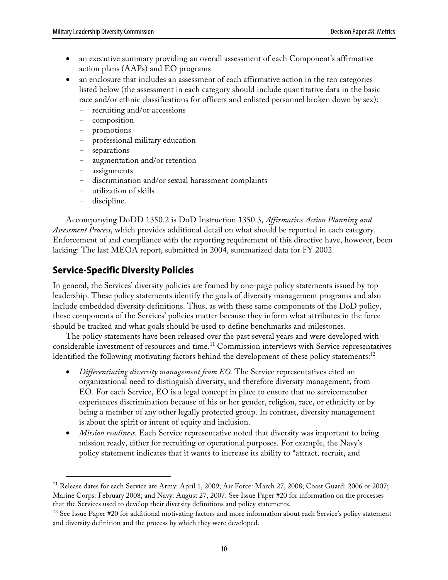- an executive summary providing an overall assessment of each Component's affirmative action plans (AAPs) and EO programs
- an enclosure that includes an assessment of each affirmative action in the ten categories listed below (the assessment in each category should include quantitative data in the basic race and/or ethnic classifications for officers and enlisted personnel broken down by sex):
	- recruiting and/or accessions
	- composition
	- promotions
	- professional military education
	- separations
	- augmentation and/or retention
	- assignments
	- discrimination and/or sexual harassment complaints
	- utilization of skills
	- discipline.

Accompanying DoDD 1350.2 is DoD Instruction 1350.3, *Affirmative Action Planning and Assessment Process*, which provides additional detail on what should be reported in each category. Enforcement of and compliance with the reporting requirement of this directive have, however, been lacking: The last MEOA report, submitted in 2004, summarized data for FY 2002.

### **Service-Specific Diversity Policies**

In general, the Services' diversity policies are framed by one-page policy statements issued by top leadership. These policy statements identify the goals of diversity management programs and also include embedded diversity definitions. Thus, as with these same components of the DoD policy, these components of the Services' policies matter because they inform what attributes in the force should be tracked and what goals should be used to define benchmarks and milestones.

The policy statements have been released over the past several years and were developed with considerable investment of resources and time.<sup>11</sup> Commission interviews with Service representatives identified the following motivating factors behind the development of these policy statements:<sup>12</sup>

- *Differentiating diversity management from EO.* The Service representatives cited an organizational need to distinguish diversity, and therefore diversity management, from EO. For each Service, EO is a legal concept in place to ensure that no servicemember experiences discrimination because of his or her gender, religion, race, or ethnicity or by being a member of any other legally protected group. In contrast, diversity management is about the spirit or intent of equity and inclusion.
- *Mission readiness.* Each Service representative noted that diversity was important to being mission ready, either for recruiting or operational purposes. For example, the Navy's policy statement indicates that it wants to increase its ability to "attract, recruit, and

<sup>&</sup>lt;sup>11</sup> Release dates for each Service are Army: April 1, 2009; Air Force: March 27, 2008; Coast Guard: 2006 or 2007; Marine Corps: February 2008; and Navy: August 27, 2007. See Issue Paper #20 for information on the processes that the Services used to develop their diversity definitions and policy statements.

<sup>&</sup>lt;sup>12</sup> See Issue Paper #20 for additional motivating factors and more information about each Service's policy statement and diversity definition and the process by which they were developed.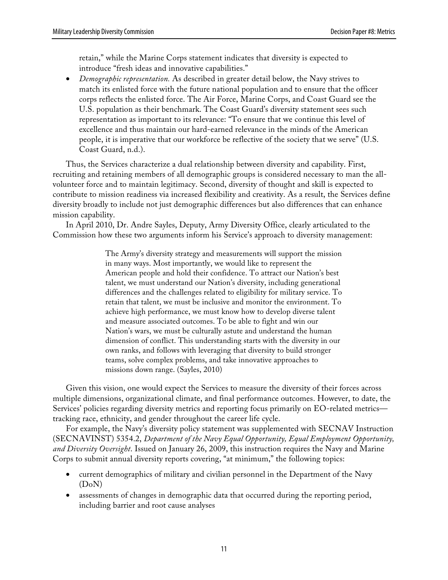retain," while the Marine Corps statement indicates that diversity is expected to introduce "fresh ideas and innovative capabilities."

• *Demographic representation.* As described in greater detail below, the Navy strives to match its enlisted force with the future national population and to ensure that the officer corps reflects the enlisted force. The Air Force, Marine Corps, and Coast Guard see the U.S. population as their benchmark. The Coast Guard's diversity statement sees such representation as important to its relevance: "To ensure that we continue this level of excellence and thus maintain our hard-earned relevance in the minds of the American people, it is imperative that our workforce be reflective of the society that we serve" (U.S. Coast Guard, n.d.).

Thus, the Services characterize a dual relationship between diversity and capability. First, recruiting and retaining members of all demographic groups is considered necessary to man the allvolunteer force and to maintain legitimacy. Second, diversity of thought and skill is expected to contribute to mission readiness via increased flexibility and creativity. As a result, the Services define diversity broadly to include not just demographic differences but also differences that can enhance mission capability.

In April 2010, Dr. Andre Sayles, Deputy, Army Diversity Office, clearly articulated to the Commission how these two arguments inform his Service's approach to diversity management:

> The Army's diversity strategy and measurements will support the mission in many ways. Most importantly, we would like to represent the American people and hold their confidence. To attract our Nation's best talent, we must understand our Nation's diversity, including generational differences and the challenges related to eligibility for military service. To retain that talent, we must be inclusive and monitor the environment. To achieve high performance, we must know how to develop diverse talent and measure associated outcomes. To be able to fight and win our Nation's wars, we must be culturally astute and understand the human dimension of conflict. This understanding starts with the diversity in our own ranks, and follows with leveraging that diversity to build stronger teams, solve complex problems, and take innovative approaches to missions down range. (Sayles, 2010)

Given this vision, one would expect the Services to measure the diversity of their forces across multiple dimensions, organizational climate, and final performance outcomes. However, to date, the Services' policies regarding diversity metrics and reporting focus primarily on EO-related metrics tracking race, ethnicity, and gender throughout the career life cycle.

For example, the Navy's diversity policy statement was supplemented with SECNAV Instruction (SECNAVINST) 5354.2, *Department of the Navy Equal Opportunity, Equal Employment Opportunity, and Diversity Oversight*. Issued on January 26, 2009, this instruction requires the Navy and Marine Corps to submit annual diversity reports covering, "at minimum," the following topics:

- current demographics of military and civilian personnel in the Department of the Navy (DoN)
- assessments of changes in demographic data that occurred during the reporting period, including barrier and root cause analyses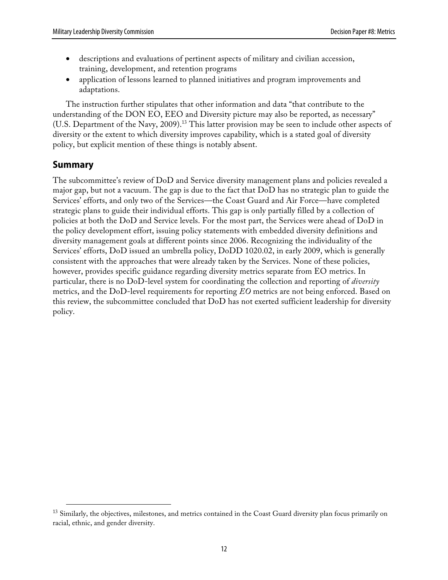- descriptions and evaluations of pertinent aspects of military and civilian accession, training, development, and retention programs
- application of lessons learned to planned initiatives and program improvements and adaptations.

The instruction further stipulates that other information and data "that contribute to the understanding of the DON EO, EEO and Diversity picture may also be reported, as necessary" (U.S. Department of the Navy, 2009).<sup>13</sup> This latter provision may be seen to include other aspects of diversity or the extent to which diversity improves capability, which is a stated goal of diversity policy, but explicit mention of these things is notably absent.

### **Summary**

The subcommittee's review of DoD and Service diversity management plans and policies revealed a major gap, but not a vacuum. The gap is due to the fact that DoD has no strategic plan to guide the Services' efforts, and only two of the Services—the Coast Guard and Air Force—have completed strategic plans to guide their individual efforts. This gap is only partially filled by a collection of policies at both the DoD and Service levels. For the most part, the Services were ahead of DoD in the policy development effort, issuing policy statements with embedded diversity definitions and diversity management goals at different points since 2006. Recognizing the individuality of the Services' efforts, DoD issued an umbrella policy, DoDD 1020.02, in early 2009, which is generally consistent with the approaches that were already taken by the Services. None of these policies, however, provides specific guidance regarding diversity metrics separate from EO metrics. In particular, there is no DoD-level system for coordinating the collection and reporting of *diversity* metrics, and the DoD-level requirements for reporting *EO* metrics are not being enforced. Based on this review, the subcommittee concluded that DoD has not exerted sufficient leadership for diversity policy.

<sup>&</sup>lt;sup>13</sup> Similarly, the objectives, milestones, and metrics contained in the Coast Guard diversity plan focus primarily on racial, ethnic, and gender diversity.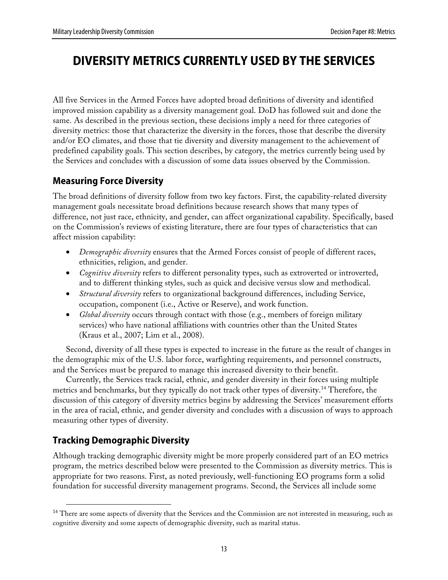# **DIVERSITY METRICS CURRENTLY USED BY THE SERVICES**

All five Services in the Armed Forces have adopted broad definitions of diversity and identified improved mission capability as a diversity management goal. DoD has followed suit and done the same. As described in the previous section, these decisions imply a need for three categories of diversity metrics: those that characterize the diversity in the forces, those that describe the diversity and/or EO climates, and those that tie diversity and diversity management to the achievement of predefined capability goals. This section describes, by category, the metrics currently being used by the Services and concludes with a discussion of some data issues observed by the Commission.

### **Measuring Force Diversity**

The broad definitions of diversity follow from two key factors. First, the capability-related diversity management goals necessitate broad definitions because research shows that many types of difference, not just race, ethnicity, and gender, can affect organizational capability. Specifically, based on the Commission's reviews of existing literature, there are four types of characteristics that can affect mission capability:

- *Demographic diversity* ensures that the Armed Forces consist of people of different races, ethnicities, religion, and gender.
- *Cognitive diversity* refers to different personality types, such as extroverted or introverted, and to different thinking styles, such as quick and decisive versus slow and methodical.
- *Structural diversity* refers to organizational background differences, including Service, occupation, component (i.e., Active or Reserve), and work function.
- *Global diversity* occurs through contact with those (e.g., members of foreign military services) who have national affiliations with countries other than the United States (Kraus et al., 2007; Lim et al., 2008).

Second, diversity of all these types is expected to increase in the future as the result of changes in the demographic mix of the U.S. labor force, warfighting requirements, and personnel constructs, and the Services must be prepared to manage this increased diversity to their benefit.

Currently, the Services track racial, ethnic, and gender diversity in their forces using multiple metrics and benchmarks, but they typically do not track other types of diversity. 14 Therefore, the discussion of this category of diversity metrics begins by addressing the Services' measurement efforts in the area of racial, ethnic, and gender diversity and concludes with a discussion of ways to approach measuring other types of diversity.

# **Tracking Demographic Diversity**

Although tracking demographic diversity might be more properly considered part of an EO metrics program, the metrics described below were presented to the Commission as diversity metrics. This is appropriate for two reasons. First, as noted previously, well-functioning EO programs form a solid foundation for successful diversity management programs. Second, the Services all include some

<sup>&</sup>lt;sup>14</sup> There are some aspects of diversity that the Services and the Commission are not interested in measuring, such as cognitive diversity and some aspects of demographic diversity, such as marital status.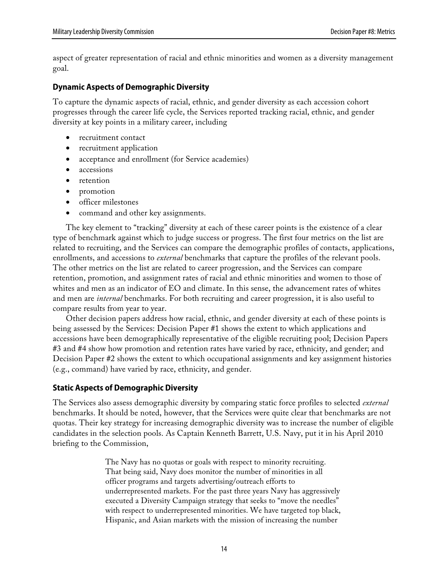aspect of greater representation of racial and ethnic minorities and women as a diversity management goal.

### **Dynamic Aspects of Demographic Diversity**

To capture the dynamic aspects of racial, ethnic, and gender diversity as each accession cohort progresses through the career life cycle, the Services reported tracking racial, ethnic, and gender diversity at key points in a military career, including

- recruitment contact
- recruitment application
- acceptance and enrollment (for Service academies)
- accessions
- retention
- promotion
- officer milestones
- command and other key assignments.

The key element to "tracking" diversity at each of these career points is the existence of a clear type of benchmark against which to judge success or progress. The first four metrics on the list are related to recruiting, and the Services can compare the demographic profiles of contacts, applications, enrollments, and accessions to *external* benchmarks that capture the profiles of the relevant pools. The other metrics on the list are related to career progression, and the Services can compare retention, promotion, and assignment rates of racial and ethnic minorities and women to those of whites and men as an indicator of EO and climate. In this sense, the advancement rates of whites and men are *internal* benchmarks. For both recruiting and career progression, it is also useful to compare results from year to year.

Other decision papers address how racial, ethnic, and gender diversity at each of these points is being assessed by the Services: Decision Paper #1 shows the extent to which applications and accessions have been demographically representative of the eligible recruiting pool; Decision Papers #3 and #4 show how promotion and retention rates have varied by race, ethnicity, and gender; and Decision Paper #2 shows the extent to which occupational assignments and key assignment histories (e.g., command) have varied by race, ethnicity, and gender.

### **Static Aspects of Demographic Diversity**

The Services also assess demographic diversity by comparing static force profiles to selected *external* benchmarks. It should be noted, however, that the Services were quite clear that benchmarks are not quotas. Their key strategy for increasing demographic diversity was to increase the number of eligible candidates in the selection pools. As Captain Kenneth Barrett, U.S. Navy, put it in his April 2010 briefing to the Commission,

> The Navy has no quotas or goals with respect to minority recruiting. That being said, Navy does monitor the number of minorities in all officer programs and targets advertising/outreach efforts to underrepresented markets. For the past three years Navy has aggressively executed a Diversity Campaign strategy that seeks to "move the needles" with respect to underrepresented minorities. We have targeted top black, Hispanic, and Asian markets with the mission of increasing the number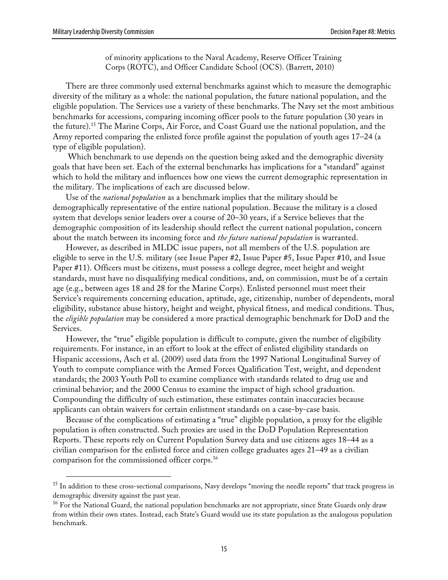of minority applications to the Naval Academy, Reserve Officer Training Corps (ROTC), and Officer Candidate School (OCS). (Barrett, 2010)

There are three commonly used external benchmarks against which to measure the demographic diversity of the military as a whole: the national population, the future national population, and the eligible population. The Services use a variety of these benchmarks. The Navy set the most ambitious benchmarks for accessions, comparing incoming officer pools to the future population (30 years in the future). 15 The Marine Corps, Air Force, and Coast Guard use the national population, and the Army reported comparing the enlisted force profile against the population of youth ages 17–24 (a type of eligible population).

Which benchmark to use depends on the question being asked and the demographic diversity goals that have been set. Each of the external benchmarks has implications for a "standard" against which to hold the military and influences how one views the current demographic representation in the military. The implications of each are discussed below.

Use of the *national population* as a benchmark implies that the military should be demographically representative of the entire national population. Because the military is a closed system that develops senior leaders over a course of 20–30 years, if a Service believes that the demographic composition of its leadership should reflect the current national population, concern about the match between its incoming force and *the future national population* is warranted.

However, as described in MLDC issue papers, not all members of the U.S. population are eligible to serve in the U.S. military (see Issue Paper #2, Issue Paper #5, Issue Paper #10, and Issue Paper #11). Officers must be citizens, must possess a college degree, meet height and weight standards, must have no disqualifying medical conditions, and, on commission, must be of a certain age (e.g., between ages 18 and 28 for the Marine Corps). Enlisted personnel must meet their Service's requirements concerning education, aptitude, age, citizenship, number of dependents, moral eligibility, substance abuse history, height and weight, physical fitness, and medical conditions. Thus, the *eligible population* may be considered a more practical demographic benchmark for DoD and the Services.

However, the "true" eligible population is difficult to compute, given the number of eligibility requirements. For instance, in an effort to look at the effect of enlisted eligibility standards on Hispanic accessions, Asch et al. (2009) used data from the 1997 National Longitudinal Survey of Youth to compute compliance with the Armed Forces Qualification Test, weight, and dependent standards; the 2003 Youth Poll to examine compliance with standards related to drug use and criminal behavior; and the 2000 Census to examine the impact of high school graduation. Compounding the difficulty of such estimation, these estimates contain inaccuracies because applicants can obtain waivers for certain enlistment standards on a case-by-case basis.

Because of the complications of estimating a "true" eligible population, a proxy for the eligible population is often constructed. Such proxies are used in the DoD Population Representation Reports. These reports rely on Current Population Survey data and use citizens ages 18–44 as a civilian comparison for the enlisted force and citizen college graduates ages 21–49 as a civilian comparison for the commissioned officer corps.16

<sup>&</sup>lt;sup>15</sup> In addition to these cross-sectional comparisons, Navy develops "moving the needle reports" that track progress in demographic diversity against the past year.

<sup>&</sup>lt;sup>16</sup> For the National Guard, the national population benchmarks are not appropriate, since State Guards only draw from within their own states. Instead, each State's Guard would use its state population as the analogous population benchmark.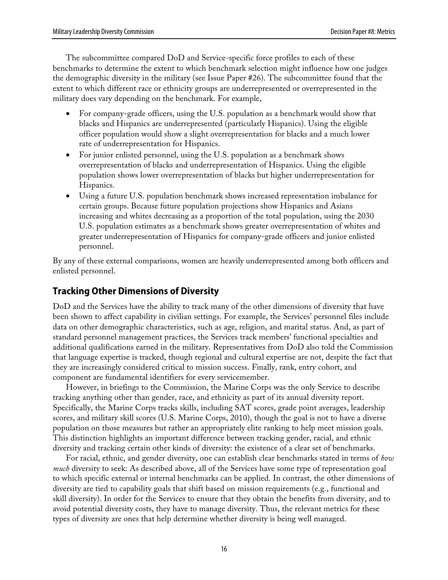The subcommittee compared DoD and Service-specific force profiles to each of these benchmarks to determine the extent to which benchmark selection might influence how one judges the demographic diversity in the military (see Issue Paper #26). The subcommittee found that the extent to which different race or ethnicity groups are underrepresented or overrepresented in the military does vary depending on the benchmark. For example,

- For company-grade officers, using the U.S. population as a benchmark would show that blacks and Hispanics are underrepresented (particularly Hispanics). Using the eligible officer population would show a slight overrepresentation for blacks and a much lower rate of underrepresentation for Hispanics.
- For junior enlisted personnel, using the U.S. population as a benchmark shows overrepresentation of blacks and underrepresentation of Hispanics. Using the eligible population shows lower overrepresentation of blacks but higher underrepresentation for Hispanics.
- Using a future U.S. population benchmark shows increased representation imbalance for certain groups. Because future population projections show Hispanics and Asians increasing and whites decreasing as a proportion of the total population, using the 2030 U.S. population estimates as a benchmark shows greater overrepresentation of whites and greater underrepresentation of Hispanics for company-grade officers and junior enlisted personnel.

By any of these external comparisons, women are heavily underrepresented among both officers and enlisted personnel.

## **Tracking Other Dimensions of Diversity**

DoD and the Services have the ability to track many of the other dimensions of diversity that have been shown to affect capability in civilian settings. For example, the Services' personnel files include data on other demographic characteristics, such as age, religion, and marital status. And, as part of standard personnel management practices, the Services track members' functional specialties and additional qualifications earned in the military. Representatives from DoD also told the Commission that language expertise is tracked, though regional and cultural expertise are not, despite the fact that they are increasingly considered critical to mission success. Finally, rank, entry cohort, and component are fundamental identifiers for every servicemember.

However, in briefings to the Commission, the Marine Corps was the only Service to describe tracking anything other than gender, race, and ethnicity as part of its annual diversity report. Specifically, the Marine Corps tracks skills, including SAT scores, grade point averages, leadership scores, and military skill scores (U.S. Marine Corps, 2010), though the goal is not to have a diverse population on those measures but rather an appropriately elite ranking to help meet mission goals. This distinction highlights an important difference between tracking gender, racial, and ethnic diversity and tracking certain other kinds of diversity: the existence of a clear set of benchmarks.

For racial, ethnic, and gender diversity, one can establish clear benchmarks stated in terms of *how much* diversity to seek: As described above, all of the Services have some type of representation goal to which specific external or internal benchmarks can be applied. In contrast, the other dimensions of diversity are tied to capability goals that shift based on mission requirements (e.g., functional and skill diversity). In order for the Services to ensure that they obtain the benefits from diversity, and to avoid potential diversity costs, they have to manage diversity. Thus, the relevant metrics for these types of diversity are ones that help determine whether diversity is being well managed.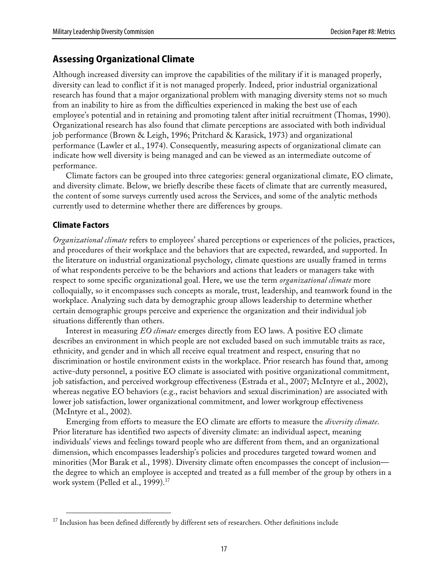### **Assessing Organizational Climate**

Although increased diversity can improve the capabilities of the military if it is managed properly, diversity can lead to conflict if it is not managed properly. Indeed, prior industrial organizational research has found that a major organizational problem with managing diversity stems not so much from an inability to hire as from the difficulties experienced in making the best use of each employee's potential and in retaining and promoting talent after initial recruitment (Thomas, 1990). Organizational research has also found that climate perceptions are associated with both individual job performance (Brown & Leigh, 1996; Pritchard & Karasick, 1973) and organizational performance (Lawler et al., 1974). Consequently, measuring aspects of organizational climate can indicate how well diversity is being managed and can be viewed as an intermediate outcome of performance.

Climate factors can be grouped into three categories: general organizational climate, EO climate, and diversity climate. Below, we briefly describe these facets of climate that are currently measured, the content of some surveys currently used across the Services, and some of the analytic methods currently used to determine whether there are differences by groups.

### **Climate Factors**

*Organizational climate* refers to employees' shared perceptions or experiences of the policies, practices, and procedures of their workplace and the behaviors that are expected, rewarded, and supported. In the literature on industrial organizational psychology, climate questions are usually framed in terms of what respondents perceive to be the behaviors and actions that leaders or managers take with respect to some specific organizational goal. Here, we use the term *organizational climate* more colloquially, so it encompasses such concepts as morale, trust, leadership, and teamwork found in the workplace. Analyzing such data by demographic group allows leadership to determine whether certain demographic groups perceive and experience the organization and their individual job situations differently than others.

Interest in measuring *EO climate* emerges directly from EO laws. A positive EO climate describes an environment in which people are not excluded based on such immutable traits as race, ethnicity, and gender and in which all receive equal treatment and respect, ensuring that no discrimination or hostile environment exists in the workplace. Prior research has found that, among active-duty personnel, a positive EO climate is associated with positive organizational commitment, job satisfaction, and perceived workgroup effectiveness (Estrada et al., 2007; McIntyre et al., 2002), whereas negative EO behaviors (e.g., racist behaviors and sexual discrimination) are associated with lower job satisfaction, lower organizational commitment, and lower workgroup effectiveness (McIntyre et al., 2002).

Emerging from efforts to measure the EO climate are efforts to measure the *diversity climate*. Prior literature has identified two aspects of diversity climate: an individual aspect, meaning individuals' views and feelings toward people who are different from them, and an organizational dimension, which encompasses leadership's policies and procedures targeted toward women and minorities (Mor Barak et al., 1998). Diversity climate often encompasses the concept of inclusion the degree to which an employee is accepted and treated as a full member of the group by others in a work system (Pelled et al., 1999).<sup>17</sup>

<sup>&</sup>lt;sup>17</sup> Inclusion has been defined differently by different sets of researchers. Other definitions include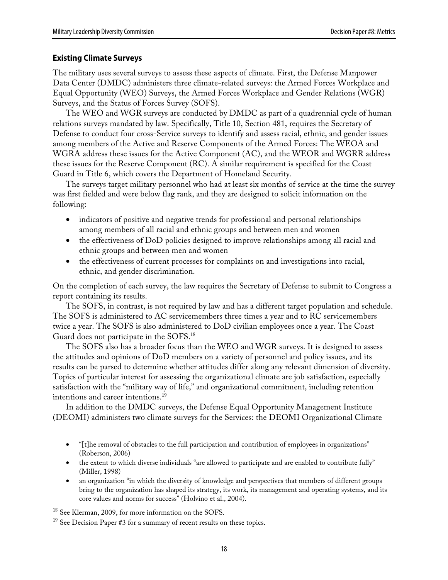#### **Existing Climate Surveys**

The military uses several surveys to assess these aspects of climate. First, the Defense Manpower Data Center (DMDC) administers three climate-related surveys: the Armed Forces Workplace and Equal Opportunity (WEO) Surveys, the Armed Forces Workplace and Gender Relations (WGR) Surveys, and the Status of Forces Survey (SOFS).

The WEO and WGR surveys are conducted by DMDC as part of a quadrennial cycle of human relations surveys mandated by law. Specifically, Title 10, Section 481, requires the Secretary of Defense to conduct four cross-Service surveys to identify and assess racial, ethnic, and gender issues among members of the Active and Reserve Components of the Armed Forces: The WEOA and WGRA address these issues for the Active Component (AC), and the WEOR and WGRR address these issues for the Reserve Component (RC). A similar requirement is specified for the Coast Guard in Title 6, which covers the Department of Homeland Security.

The surveys target military personnel who had at least six months of service at the time the survey was first fielded and were below flag rank, and they are designed to solicit information on the following:

- indicators of positive and negative trends for professional and personal relationships among members of all racial and ethnic groups and between men and women
- the effectiveness of DoD policies designed to improve relationships among all racial and ethnic groups and between men and women
- the effectiveness of current processes for complaints on and investigations into racial, ethnic, and gender discrimination.

On the completion of each survey, the law requires the Secretary of Defense to submit to Congress a report containing its results.

The SOFS, in contrast, is not required by law and has a different target population and schedule. The SOFS is administered to AC servicemembers three times a year and to RC servicemembers twice a year. The SOFS is also administered to DoD civilian employees once a year. The Coast Guard does not participate in the SOFS.<sup>18</sup>

The SOFS also has a broader focus than the WEO and WGR surveys. It is designed to assess the attitudes and opinions of DoD members on a variety of personnel and policy issues, and its results can be parsed to determine whether attitudes differ along any relevant dimension of diversity. Topics of particular interest for assessing the organizational climate are job satisfaction, especially satisfaction with the "military way of life," and organizational commitment, including retention intentions and career intentions.<sup>19</sup>

In addition to the DMDC surveys, the Defense Equal Opportunity Management Institute (DEOMI) administers two climate surveys for the Services: the DEOMI Organizational Climate

- "[t]he removal of obstacles to the full participation and contribution of employees in organizations" (Roberson, 2006)
- the extent to which diverse individuals "are allowed to participate and are enabled to contribute fully" (Miller, 1998)
- an organization "in which the diversity of knowledge and perspectives that members of different groups bring to the organization has shaped its strategy, its work, its management and operating systems, and its core values and norms for success" (Holvino et al., 2004).

<sup>18</sup> See Klerman, 2009, for more information on the SOFS.

 $\overline{a}$ 

<sup>&</sup>lt;sup>19</sup> See Decision Paper #3 for a summary of recent results on these topics.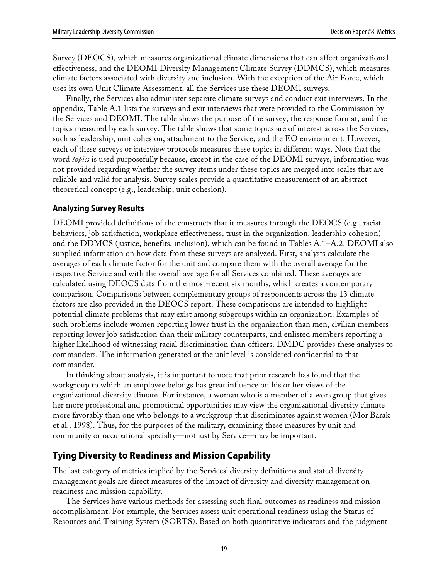Survey (DEOCS), which measures organizational climate dimensions that can affect organizational effectiveness, and the DEOMI Diversity Management Climate Survey (DDMCS), which measures climate factors associated with diversity and inclusion. With the exception of the Air Force, which uses its own Unit Climate Assessment, all the Services use these DEOMI surveys.

Finally, the Services also administer separate climate surveys and conduct exit interviews. In the appendix, Table A.1 lists the surveys and exit interviews that were provided to the Commission by the Services and DEOMI. The table shows the purpose of the survey, the response format, and the topics measured by each survey. The table shows that some topics are of interest across the Services, such as leadership, unit cohesion, attachment to the Service, and the EO environment. However, each of these surveys or interview protocols measures these topics in different ways. Note that the word *topics* is used purposefully because, except in the case of the DEOMI surveys, information was not provided regarding whether the survey items under these topics are merged into scales that are reliable and valid for analysis. Survey scales provide a quantitative measurement of an abstract theoretical concept (e.g., leadership, unit cohesion).

### **Analyzing Survey Results**

DEOMI provided definitions of the constructs that it measures through the DEOCS (e.g., racist behaviors, job satisfaction, workplace effectiveness, trust in the organization, leadership cohesion) and the DDMCS (justice, benefits, inclusion), which can be found in Tables A.1–A.2. DEOMI also supplied information on how data from these surveys are analyzed. First, analysts calculate the averages of each climate factor for the unit and compare them with the overall average for the respective Service and with the overall average for all Services combined. These averages are calculated using DEOCS data from the most-recent six months, which creates a contemporary comparison. Comparisons between complementary groups of respondents across the 13 climate factors are also provided in the DEOCS report. These comparisons are intended to highlight potential climate problems that may exist among subgroups within an organization. Examples of such problems include women reporting lower trust in the organization than men, civilian members reporting lower job satisfaction than their military counterparts, and enlisted members reporting a higher likelihood of witnessing racial discrimination than officers. DMDC provides these analyses to commanders. The information generated at the unit level is considered confidential to that commander.

In thinking about analysis, it is important to note that prior research has found that the workgroup to which an employee belongs has great influence on his or her views of the organizational diversity climate. For instance, a woman who is a member of a workgroup that gives her more professional and promotional opportunities may view the organizational diversity climate more favorably than one who belongs to a workgroup that discriminates against women (Mor Barak et al., 1998). Thus, for the purposes of the military, examining these measures by unit and community or occupational specialty—not just by Service—may be important.

### **Tying Diversity to Readiness and Mission Capability**

The last category of metrics implied by the Services' diversity definitions and stated diversity management goals are direct measures of the impact of diversity and diversity management on readiness and mission capability.

The Services have various methods for assessing such final outcomes as readiness and mission accomplishment. For example, the Services assess unit operational readiness using the Status of Resources and Training System (SORTS). Based on both quantitative indicators and the judgment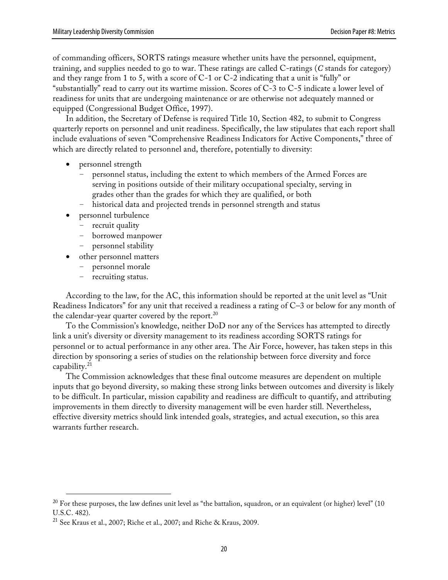of commanding officers, SORTS ratings measure whether units have the personnel, equipment, training, and supplies needed to go to war. These ratings are called C-ratings (*C* stands for category) and they range from 1 to 5, with a score of  $C-1$  or  $C-2$  indicating that a unit is "fully" or "substantially" read to carry out its wartime mission. Scores of C-3 to C-5 indicate a lower level of readiness for units that are undergoing maintenance or are otherwise not adequately manned or equipped (Congressional Budget Office, 1997).

In addition, the Secretary of Defense is required Title 10, Section 482, to submit to Congress quarterly reports on personnel and unit readiness. Specifically, the law stipulates that each report shall include evaluations of seven "Comprehensive Readiness Indicators for Active Components," three of which are directly related to personnel and, therefore, potentially to diversity:

- personnel strength
	- personnel status, including the extent to which members of the Armed Forces are serving in positions outside of their military occupational specialty, serving in grades other than the grades for which they are qualified, or both
	- historical data and projected trends in personnel strength and status
- personnel turbulence
	- recruit quality
	- borrowed manpower
	- personnel stability
- other personnel matters
	- personnel morale
	- recruiting status.

According to the law, for the AC, this information should be reported at the unit level as "Unit Readiness Indicators" for any unit that received a readiness a rating of C–3 or below for any month of the calendar-year quarter covered by the report. $^{20}$ 

To the Commission's knowledge, neither DoD nor any of the Services has attempted to directly link a unit's diversity or diversity management to its readiness according SORTS ratings for personnel or to actual performance in any other area. The Air Force, however, has taken steps in this direction by sponsoring a series of studies on the relationship between force diversity and force capability.21

The Commission acknowledges that these final outcome measures are dependent on multiple inputs that go beyond diversity, so making these strong links between outcomes and diversity is likely to be difficult. In particular, mission capability and readiness are difficult to quantify, and attributing improvements in them directly to diversity management will be even harder still. Nevertheless, effective diversity metrics should link intended goals, strategies, and actual execution, so this area warrants further research.

 $20$  For these purposes, the law defines unit level as "the battalion, squadron, or an equivalent (or higher) level" (10 U.S.C. 482).

<sup>21</sup> See Kraus et al., 2007; Riche et al., 2007; and Riche & Kraus, 2009.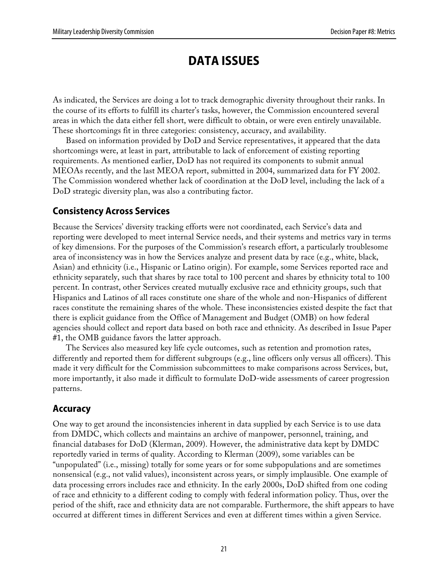# **DATA ISSUES**

As indicated, the Services are doing a lot to track demographic diversity throughout their ranks. In the course of its efforts to fulfill its charter's tasks, however, the Commission encountered several areas in which the data either fell short, were difficult to obtain, or were even entirely unavailable. These shortcomings fit in three categories: consistency, accuracy, and availability.

Based on information provided by DoD and Service representatives, it appeared that the data shortcomings were, at least in part, attributable to lack of enforcement of existing reporting requirements. As mentioned earlier, DoD has not required its components to submit annual MEOAs recently, and the last MEOA report, submitted in 2004, summarized data for FY 2002. The Commission wondered whether lack of coordination at the DoD level, including the lack of a DoD strategic diversity plan, was also a contributing factor.

### **Consistency Across Services**

Because the Services' diversity tracking efforts were not coordinated, each Service's data and reporting were developed to meet internal Service needs, and their systems and metrics vary in terms of key dimensions. For the purposes of the Commission's research effort, a particularly troublesome area of inconsistency was in how the Services analyze and present data by race (e.g., white, black, Asian) and ethnicity (i.e., Hispanic or Latino origin). For example, some Services reported race and ethnicity separately, such that shares by race total to 100 percent and shares by ethnicity total to 100 percent. In contrast, other Services created mutually exclusive race and ethnicity groups, such that Hispanics and Latinos of all races constitute one share of the whole and non-Hispanics of different races constitute the remaining shares of the whole. These inconsistencies existed despite the fact that there is explicit guidance from the Office of Management and Budget (OMB) on how federal agencies should collect and report data based on both race and ethnicity. As described in Issue Paper #1, the OMB guidance favors the latter approach.

The Services also measured key life cycle outcomes, such as retention and promotion rates, differently and reported them for different subgroups (e.g., line officers only versus all officers). This made it very difficult for the Commission subcommittees to make comparisons across Services, but, more importantly, it also made it difficult to formulate DoD-wide assessments of career progression patterns.

### **Accuracy**

One way to get around the inconsistencies inherent in data supplied by each Service is to use data from DMDC, which collects and maintains an archive of manpower, personnel, training, and financial databases for DoD (Klerman, 2009). However, the administrative data kept by DMDC reportedly varied in terms of quality. According to Klerman (2009), some variables can be "unpopulated" (i.e., missing) totally for some years or for some subpopulations and are sometimes nonsensical (e.g., not valid values), inconsistent across years, or simply implausible. One example of data processing errors includes race and ethnicity. In the early 2000s, DoD shifted from one coding of race and ethnicity to a different coding to comply with federal information policy. Thus, over the period of the shift, race and ethnicity data are not comparable. Furthermore, the shift appears to have occurred at different times in different Services and even at different times within a given Service.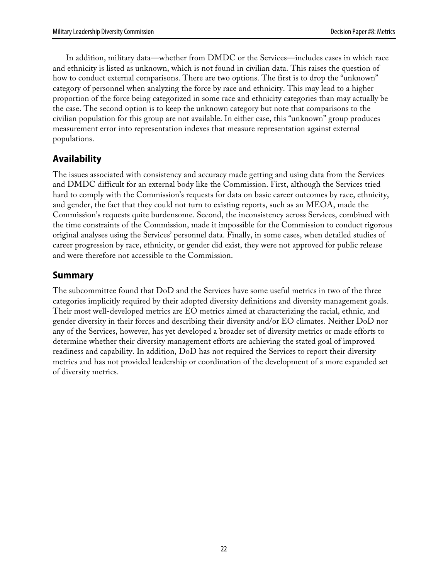In addition, military data—whether from DMDC or the Services—includes cases in which race and ethnicity is listed as unknown, which is not found in civilian data. This raises the question of how to conduct external comparisons. There are two options. The first is to drop the "unknown" category of personnel when analyzing the force by race and ethnicity. This may lead to a higher proportion of the force being categorized in some race and ethnicity categories than may actually be the case. The second option is to keep the unknown category but note that comparisons to the civilian population for this group are not available. In either case, this "unknown" group produces measurement error into representation indexes that measure representation against external populations.

### **Availability**

The issues associated with consistency and accuracy made getting and using data from the Services and DMDC difficult for an external body like the Commission. First, although the Services tried hard to comply with the Commission's requests for data on basic career outcomes by race, ethnicity, and gender, the fact that they could not turn to existing reports, such as an MEOA, made the Commission's requests quite burdensome. Second, the inconsistency across Services, combined with the time constraints of the Commission, made it impossible for the Commission to conduct rigorous original analyses using the Services' personnel data. Finally, in some cases, when detailed studies of career progression by race, ethnicity, or gender did exist, they were not approved for public release and were therefore not accessible to the Commission.

### **Summary**

The subcommittee found that DoD and the Services have some useful metrics in two of the three categories implicitly required by their adopted diversity definitions and diversity management goals. Their most well-developed metrics are EO metrics aimed at characterizing the racial, ethnic, and gender diversity in their forces and describing their diversity and/or EO climates. Neither DoD nor any of the Services, however, has yet developed a broader set of diversity metrics or made efforts to determine whether their diversity management efforts are achieving the stated goal of improved readiness and capability. In addition, DoD has not required the Services to report their diversity metrics and has not provided leadership or coordination of the development of a more expanded set of diversity metrics.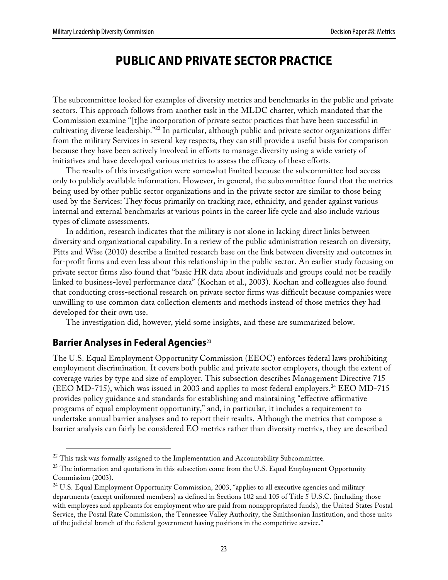# **PUBLIC AND PRIVATE SECTOR PRACTICE**

The subcommittee looked for examples of diversity metrics and benchmarks in the public and private sectors. This approach follows from another task in the MLDC charter, which mandated that the Commission examine "[t]he incorporation of private sector practices that have been successful in cultivating diverse leadership."22 In particular, although public and private sector organizations differ from the military Services in several key respects, they can still provide a useful basis for comparison because they have been actively involved in efforts to manage diversity using a wide variety of initiatives and have developed various metrics to assess the efficacy of these efforts.

The results of this investigation were somewhat limited because the subcommittee had access only to publicly available information. However, in general, the subcommittee found that the metrics being used by other public sector organizations and in the private sector are similar to those being used by the Services: They focus primarily on tracking race, ethnicity, and gender against various internal and external benchmarks at various points in the career life cycle and also include various types of climate assessments.

In addition, research indicates that the military is not alone in lacking direct links between diversity and organizational capability. In a review of the public administration research on diversity, Pitts and Wise (2010) describe a limited research base on the link between diversity and outcomes in for-profit firms and even less about this relationship in the public sector. An earlier study focusing on private sector firms also found that "basic HR data about individuals and groups could not be readily linked to business-level performance data" (Kochan et al., 2003). Kochan and colleagues also found that conducting cross-sectional research on private sector firms was difficult because companies were unwilling to use common data collection elements and methods instead of those metrics they had developed for their own use.

The investigation did, however, yield some insights, and these are summarized below.

### **Barrier Analyses in Federal Agencies**<sup>23</sup>

The U.S. Equal Employment Opportunity Commission (EEOC) enforces federal laws prohibiting employment discrimination. It covers both public and private sector employers, though the extent of coverage varies by type and size of employer. This subsection describes Management Directive 715 (EEO MD-715), which was issued in 2003 and applies to most federal employers.<sup>24</sup> EEO MD-715 provides policy guidance and standards for establishing and maintaining "effective affirmative programs of equal employment opportunity," and, in particular, it includes a requirement to undertake annual barrier analyses and to report their results. Although the metrics that compose a barrier analysis can fairly be considered EO metrics rather than diversity metrics, they are described

 $22$  This task was formally assigned to the Implementation and Accountability Subcommittee.

<sup>&</sup>lt;sup>23</sup> The information and quotations in this subsection come from the U.S. Equal Employment Opportunity Commission (2003).

<sup>&</sup>lt;sup>24</sup> U.S. Equal Employment Opportunity Commission, 2003, "applies to all executive agencies and military departments (except uniformed members) as defined in Sections 102 and 105 of Title 5 U.S.C. (including those with employees and applicants for employment who are paid from nonappropriated funds), the United States Postal Service, the Postal Rate Commission, the Tennessee Valley Authority, the Smithsonian Institution, and those units of the judicial branch of the federal government having positions in the competitive service."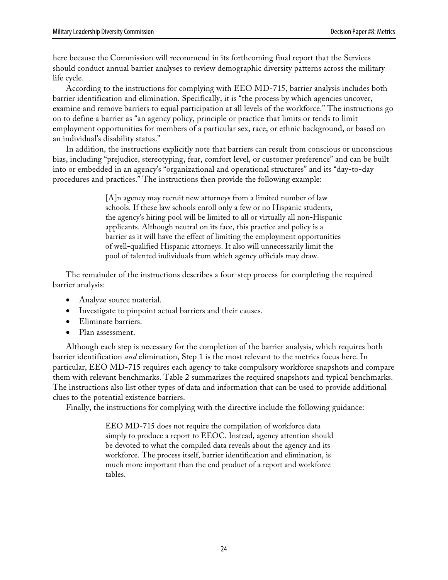here because the Commission will recommend in its forthcoming final report that the Services should conduct annual barrier analyses to review demographic diversity patterns across the military life cycle.

According to the instructions for complying with EEO MD-715, barrier analysis includes both barrier identification and elimination. Specifically, it is "the process by which agencies uncover, examine and remove barriers to equal participation at all levels of the workforce." The instructions go on to define a barrier as "an agency policy, principle or practice that limits or tends to limit employment opportunities for members of a particular sex, race, or ethnic background, or based on an individual's disability status."

In addition, the instructions explicitly note that barriers can result from conscious or unconscious bias, including "prejudice, stereotyping, fear, comfort level, or customer preference" and can be built into or embedded in an agency's "organizational and operational structures" and its "day-to-day procedures and practices." The instructions then provide the following example:

> [A]n agency may recruit new attorneys from a limited number of law schools. If these law schools enroll only a few or no Hispanic students, the agency's hiring pool will be limited to all or virtually all non-Hispanic applicants. Although neutral on its face, this practice and policy is a barrier as it will have the effect of limiting the employment opportunities of well-qualified Hispanic attorneys. It also will unnecessarily limit the pool of talented individuals from which agency officials may draw.

The remainder of the instructions describes a four-step process for completing the required barrier analysis:

- Analyze source material.
- Investigate to pinpoint actual barriers and their causes.
- Eliminate barriers.
- Plan assessment.

Although each step is necessary for the completion of the barrier analysis, which requires both barrier identification *and* elimination, Step 1 is the most relevant to the metrics focus here. In particular, EEO MD-715 requires each agency to take compulsory workforce snapshots and compare them with relevant benchmarks. Table 2 summarizes the required snapshots and typical benchmarks. The instructions also list other types of data and information that can be used to provide additional clues to the potential existence barriers.

Finally, the instructions for complying with the directive include the following guidance:

EEO MD-715 does not require the compilation of workforce data simply to produce a report to EEOC. Instead, agency attention should be devoted to what the compiled data reveals about the agency and its workforce. The process itself, barrier identification and elimination, is much more important than the end product of a report and workforce tables.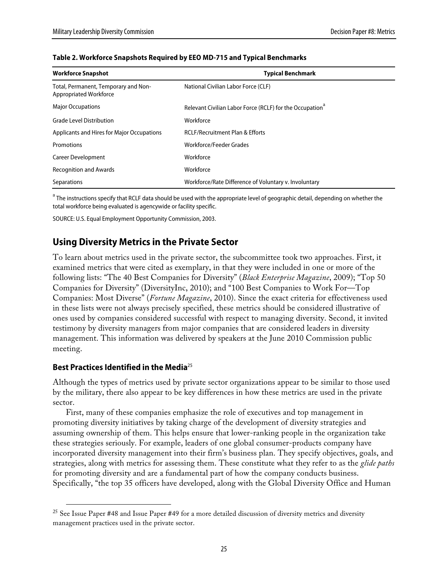| <b>Workforce Snapshot</b>                                      | <b>Typical Benchmark</b>                                             |
|----------------------------------------------------------------|----------------------------------------------------------------------|
| Total, Permanent, Temporary and Non-<br>Appropriated Workforce | National Civilian Labor Force (CLF)                                  |
| <b>Major Occupations</b>                                       | Relevant Civilian Labor Force (RCLF) for the Occupation <sup>a</sup> |
| <b>Grade Level Distribution</b>                                | Workforce                                                            |
| Applicants and Hires for Major Occupations                     | <b>RCLF/Recruitment Plan &amp; Efforts</b>                           |
| Promotions                                                     | Workforce/Feeder Grades                                              |
| <b>Career Development</b>                                      | Workforce                                                            |
| <b>Recognition and Awards</b>                                  | Workforce                                                            |
| Separations                                                    | Workforce/Rate Difference of Voluntary v. Involuntary                |

#### **Table 2. Workforce Snapshots Required by EEO MD-715 and Typical Benchmarks**

 $^{\rm a}$  The instructions specify that RCLF data should be used with the appropriate level of geographic detail, depending on whether the total workforce being evaluated is agencywide or facility specific.

SOURCE: U.S. Equal Employment Opportunity Commission, 2003.

### **Using Diversity Metrics in the Private Sector**

To learn about metrics used in the private sector, the subcommittee took two approaches. First, it examined metrics that were cited as exemplary, in that they were included in one or more of the following lists: "The 40 Best Companies for Diversity" (*Black Enterprise Magazine*, 2009); "Top 50 Companies for Diversity" (DiversityInc, 2010); and "100 Best Companies to Work For—Top Companies: Most Diverse" (*Fortune Magazine*, 2010). Since the exact criteria for effectiveness used in these lists were not always precisely specified, these metrics should be considered illustrative of ones used by companies considered successful with respect to managing diversity. Second, it invited testimony by diversity managers from major companies that are considered leaders in diversity management. This information was delivered by speakers at the June 2010 Commission public meeting.

#### **Best Practices Identified in the Media**<sup>25</sup>

Although the types of metrics used by private sector organizations appear to be similar to those used by the military, there also appear to be key differences in how these metrics are used in the private sector.

First, many of these companies emphasize the role of executives and top management in promoting diversity initiatives by taking charge of the development of diversity strategies and assuming ownership of them. This helps ensure that lower-ranking people in the organization take these strategies seriously. For example, leaders of one global consumer-products company have incorporated diversity management into their firm's business plan. They specify objectives, goals, and strategies, along with metrics for assessing them. These constitute what they refer to as the *glide paths* for promoting diversity and are a fundamental part of how the company conducts business. Specifically, "the top 35 officers have developed, along with the Global Diversity Office and Human

<sup>&</sup>lt;sup>25</sup> See Issue Paper #48 and Issue Paper #49 for a more detailed discussion of diversity metrics and diversity management practices used in the private sector.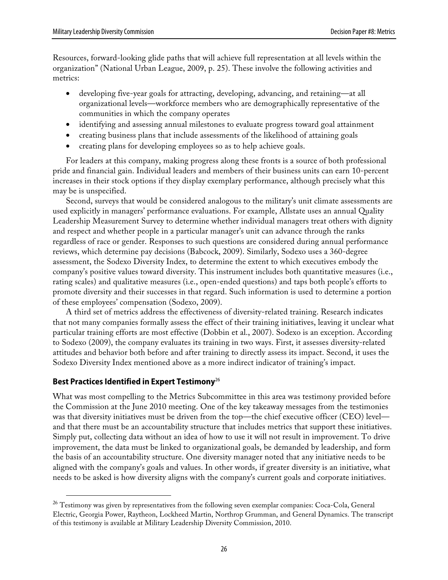Resources, forward-looking glide paths that will achieve full representation at all levels within the organization" (National Urban League, 2009, p. 25). These involve the following activities and metrics:

- developing five-year goals for attracting, developing, advancing, and retaining—at all organizational levels—workforce members who are demographically representative of the communities in which the company operates
- identifying and assessing annual milestones to evaluate progress toward goal attainment
- creating business plans that include assessments of the likelihood of attaining goals
- creating plans for developing employees so as to help achieve goals.

For leaders at this company, making progress along these fronts is a source of both professional pride and financial gain. Individual leaders and members of their business units can earn 10-percent increases in their stock options if they display exemplary performance, although precisely what this may be is unspecified.

Second, surveys that would be considered analogous to the military's unit climate assessments are used explicitly in managers' performance evaluations. For example, Allstate uses an annual Quality Leadership Measurement Survey to determine whether individual managers treat others with dignity and respect and whether people in a particular manager's unit can advance through the ranks regardless of race or gender. Responses to such questions are considered during annual performance reviews, which determine pay decisions (Babcock, 2009). Similarly, Sodexo uses a 360-degree assessment, the Sodexo Diversity Index, to determine the extent to which executives embody the company's positive values toward diversity. This instrument includes both quantitative measures (i.e., rating scales) and qualitative measures (i.e., open-ended questions) and taps both people's efforts to promote diversity and their successes in that regard. Such information is used to determine a portion of these employees' compensation (Sodexo, 2009).

A third set of metrics address the effectiveness of diversity-related training. Research indicates that not many companies formally assess the effect of their training initiatives, leaving it unclear what particular training efforts are most effective (Dobbin et al., 2007). Sodexo is an exception. According to Sodexo (2009), the company evaluates its training in two ways. First, it assesses diversity-related attitudes and behavior both before and after training to directly assess its impact. Second, it uses the Sodexo Diversity Index mentioned above as a more indirect indicator of training's impact.

### **Best Practices Identified in Expert Testimony**<sup>26</sup>

What was most compelling to the Metrics Subcommittee in this area was testimony provided before the Commission at the June 2010 meeting. One of the key takeaway messages from the testimonies was that diversity initiatives must be driven from the top—the chief executive officer (CEO) level and that there must be an accountability structure that includes metrics that support these initiatives. Simply put, collecting data without an idea of how to use it will not result in improvement. To drive improvement, the data must be linked to organizational goals, be demanded by leadership, and form the basis of an accountability structure. One diversity manager noted that any initiative needs to be aligned with the company's goals and values. In other words, if greater diversity is an initiative, what needs to be asked is how diversity aligns with the company's current goals and corporate initiatives.

<sup>&</sup>lt;sup>26</sup> Testimony was given by representatives from the following seven exemplar companies: Coca-Cola, General Electric, Georgia Power, Raytheon, Lockheed Martin, Northrop Grumman, and General Dynamics. The transcript of this testimony is available at Military Leadership Diversity Commission, 2010.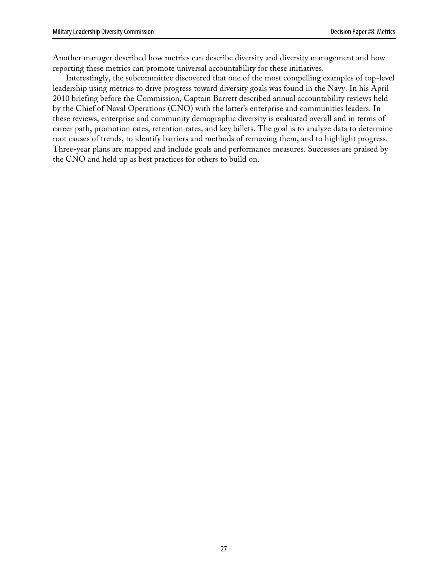Another manager described how metrics can describe diversity and diversity management and how reporting these metrics can promote universal accountability for these initiatives.

Interestingly, the subcommittee discovered that one of the most compelling examples of top-level leadership using metrics to drive progress toward diversity goals was found in the Navy. In his April 2010 briefing before the Commission, Captain Barrett described annual accountability reviews held by the Chief of Naval Operations (CNO) with the latter's enterprise and communities leaders. In these reviews, enterprise and community demographic diversity is evaluated overall and in terms of career path, promotion rates, retention rates, and key billets. The goal is to analyze data to determine root causes of trends, to identify barriers and methods of removing them, and to highlight progress. Three-year plans are mapped and include goals and performance measures. Successes are praised by the CNO and held up as best practices for others to build on.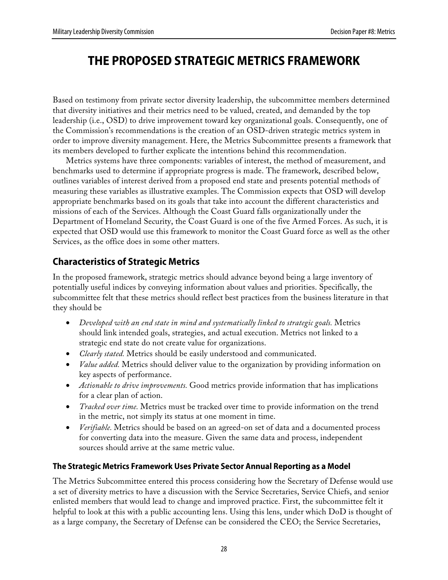# **THE PROPOSED STRATEGIC METRICS FRAMEWORK**

Based on testimony from private sector diversity leadership, the subcommittee members determined that diversity initiatives and their metrics need to be valued, created, and demanded by the top leadership (i.e., OSD) to drive improvement toward key organizational goals. Consequently, one of the Commission's recommendations is the creation of an OSD-driven strategic metrics system in order to improve diversity management. Here, the Metrics Subcommittee presents a framework that its members developed to further explicate the intentions behind this recommendation.

Metrics systems have three components: variables of interest, the method of measurement, and benchmarks used to determine if appropriate progress is made. The framework, described below, outlines variables of interest derived from a proposed end state and presents potential methods of measuring these variables as illustrative examples. The Commission expects that OSD will develop appropriate benchmarks based on its goals that take into account the different characteristics and missions of each of the Services. Although the Coast Guard falls organizationally under the Department of Homeland Security, the Coast Guard is one of the five Armed Forces. As such, it is expected that OSD would use this framework to monitor the Coast Guard force as well as the other Services, as the office does in some other matters.

## **Characteristics of Strategic Metrics**

In the proposed framework, strategic metrics should advance beyond being a large inventory of potentially useful indices by conveying information about values and priorities. Specifically, the subcommittee felt that these metrics should reflect best practices from the business literature in that they should be

- *Developed with an end state in mind and systematically linked to strategic goals.* Metrics should link intended goals, strategies, and actual execution. Metrics not linked to a strategic end state do not create value for organizations.
- *Clearly stated.* Metrics should be easily understood and communicated.
- *Value added.* Metrics should deliver value to the organization by providing information on key aspects of performance.
- *Actionable to drive improvements.* Good metrics provide information that has implications for a clear plan of action.
- *Tracked over time.* Metrics must be tracked over time to provide information on the trend in the metric, not simply its status at one moment in time.
- *Verifiable.* Metrics should be based on an agreed-on set of data and a documented process for converting data into the measure. Given the same data and process, independent sources should arrive at the same metric value.

### **The Strategic Metrics Framework Uses Private Sector Annual Reporting as a Model**

The Metrics Subcommittee entered this process considering how the Secretary of Defense would use a set of diversity metrics to have a discussion with the Service Secretaries, Service Chiefs, and senior enlisted members that would lead to change and improved practice. First, the subcommittee felt it helpful to look at this with a public accounting lens. Using this lens, under which DoD is thought of as a large company, the Secretary of Defense can be considered the CEO; the Service Secretaries,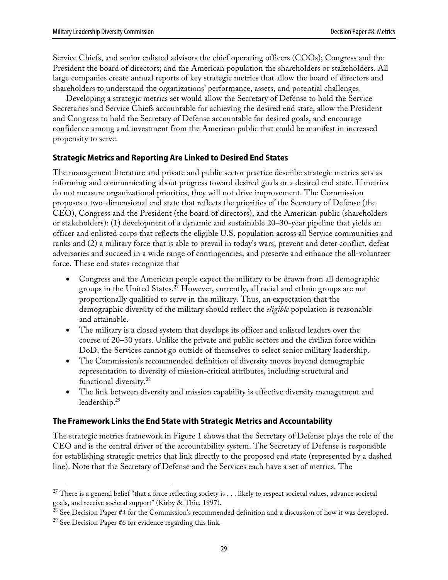Service Chiefs, and senior enlisted advisors the chief operating officers (COOs); Congress and the President the board of directors; and the American population the shareholders or stakeholders. All large companies create annual reports of key strategic metrics that allow the board of directors and shareholders to understand the organizations' performance, assets, and potential challenges.

Developing a strategic metrics set would allow the Secretary of Defense to hold the Service Secretaries and Service Chiefs accountable for achieving the desired end state, allow the President and Congress to hold the Secretary of Defense accountable for desired goals, and encourage confidence among and investment from the American public that could be manifest in increased propensity to serve.

### **Strategic Metrics and Reporting Are Linked to Desired End States**

The management literature and private and public sector practice describe strategic metrics sets as informing and communicating about progress toward desired goals or a desired end state. If metrics do not measure organizational priorities, they will not drive improvement. The Commission proposes a two-dimensional end state that reflects the priorities of the Secretary of Defense (the CEO), Congress and the President (the board of directors), and the American public (shareholders or stakeholders): (1) development of a dynamic and sustainable 20–30-year pipeline that yields an officer and enlisted corps that reflects the eligible U.S. population across all Service communities and ranks and (2) a military force that is able to prevail in today's wars, prevent and deter conflict, defeat adversaries and succeed in a wide range of contingencies, and preserve and enhance the all-volunteer force. These end states recognize that

- Congress and the American people expect the military to be drawn from all demographic groups in the United States. <sup>27</sup> However, currently, all racial and ethnic groups are not proportionally qualified to serve in the military. Thus, an expectation that the demographic diversity of the military should reflect the *eligible* population is reasonable and attainable.
- The military is a closed system that develops its officer and enlisted leaders over the course of 20–30 years. Unlike the private and public sectors and the civilian force within DoD, the Services cannot go outside of themselves to select senior military leadership.
- The Commission's recommended definition of diversity moves beyond demographic representation to diversity of mission-critical attributes, including structural and functional diversity.28
- The link between diversity and mission capability is effective diversity management and leadership.29

### **The Framework Links the End State with Strategic Metrics and Accountability**

The strategic metrics framework in Figure 1 shows that the Secretary of Defense plays the role of the CEO and is the central driver of the accountability system. The Secretary of Defense is responsible for establishing strategic metrics that link directly to the proposed end state (represented by a dashed line). Note that the Secretary of Defense and the Services each have a set of metrics. The

 $27$  There is a general belief "that a force reflecting society is  $\dots$  likely to respect societal values, advance societal goals, and receive societal support" (Kirby & Thie, 1997).

<sup>&</sup>lt;sup>28</sup> See Decision Paper #4 for the Commission's recommended definition and a discussion of how it was developed.

<sup>&</sup>lt;sup>29</sup> See Decision Paper #6 for evidence regarding this link.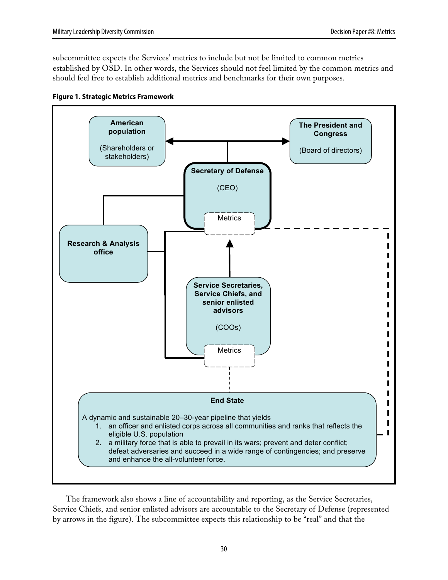subcommittee expects the Services' metrics to include but not be limited to common metrics established by OSD. In other words, the Services should not feel limited by the common metrics and should feel free to establish additional metrics and benchmarks for their own purposes.





The framework also shows a line of accountability and reporting, as the Service Secretaries, Service Chiefs, and senior enlisted advisors are accountable to the Secretary of Defense (represented by arrows in the figure). The subcommittee expects this relationship to be "real" and that the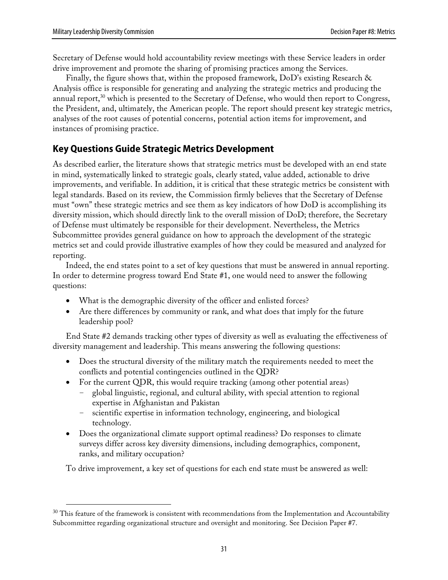Secretary of Defense would hold accountability review meetings with these Service leaders in order drive improvement and promote the sharing of promising practices among the Services.

Finally, the figure shows that, within the proposed framework, DoD's existing Research & Analysis office is responsible for generating and analyzing the strategic metrics and producing the annual report, $^{30}$  which is presented to the Secretary of Defense, who would then report to Congress, the President, and, ultimately, the American people. The report should present key strategic metrics, analyses of the root causes of potential concerns, potential action items for improvement, and instances of promising practice.

# **Key Questions Guide Strategic Metrics Development**

As described earlier, the literature shows that strategic metrics must be developed with an end state in mind, systematically linked to strategic goals, clearly stated, value added, actionable to drive improvements, and verifiable. In addition, it is critical that these strategic metrics be consistent with legal standards. Based on its review, the Commission firmly believes that the Secretary of Defense must "own" these strategic metrics and see them as key indicators of how DoD is accomplishing its diversity mission, which should directly link to the overall mission of DoD; therefore, the Secretary of Defense must ultimately be responsible for their development. Nevertheless, the Metrics Subcommittee provides general guidance on how to approach the development of the strategic metrics set and could provide illustrative examples of how they could be measured and analyzed for reporting.

Indeed, the end states point to a set of key questions that must be answered in annual reporting. In order to determine progress toward End State #1, one would need to answer the following questions:

- What is the demographic diversity of the officer and enlisted forces?
- Are there differences by community or rank, and what does that imply for the future leadership pool?

End State #2 demands tracking other types of diversity as well as evaluating the effectiveness of diversity management and leadership. This means answering the following questions:

- Does the structural diversity of the military match the requirements needed to meet the conflicts and potential contingencies outlined in the QDR?
- For the current QDR, this would require tracking (among other potential areas)
	- global linguistic, regional, and cultural ability, with special attention to regional expertise in Afghanistan and Pakistan
	- scientific expertise in information technology, engineering, and biological technology.
- Does the organizational climate support optimal readiness? Do responses to climate surveys differ across key diversity dimensions, including demographics, component, ranks, and military occupation?

To drive improvement, a key set of questions for each end state must be answered as well:

 $30$  This feature of the framework is consistent with recommendations from the Implementation and Accountability Subcommittee regarding organizational structure and oversight and monitoring. See Decision Paper #7.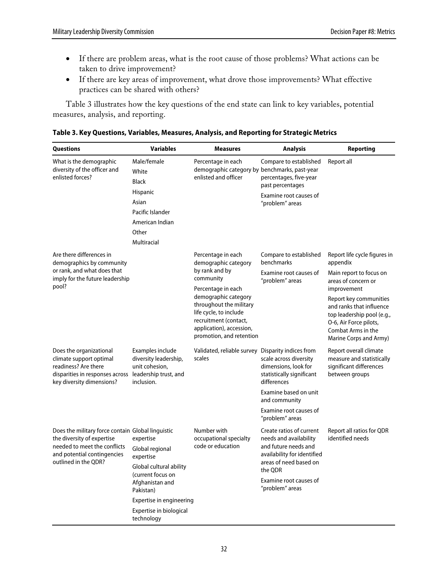- If there are problem areas, what is the root cause of those problems? What actions can be taken to drive improvement?
- If there are key areas of improvement, what drove those improvements? What effective practices can be shared with others?

Table 3 illustrates how the key questions of the end state can link to key variables, potential measures, analysis, and reporting.

| Table 3. Key Questions, Variables, Measures, Analysis, and Reporting for Strategic Metrics |  |  |  |  |
|--------------------------------------------------------------------------------------------|--|--|--|--|
|--------------------------------------------------------------------------------------------|--|--|--|--|

| <b>Questions</b>                                                                                                                                                       | <b>Variables</b>                                                                                                                                                                               | <b>Measures</b>                                                                                                                                                                                                                                               | Analysis                                                                                                                                                                                    | Reporting                                                                                                                                                                                                                                                               |
|------------------------------------------------------------------------------------------------------------------------------------------------------------------------|------------------------------------------------------------------------------------------------------------------------------------------------------------------------------------------------|---------------------------------------------------------------------------------------------------------------------------------------------------------------------------------------------------------------------------------------------------------------|---------------------------------------------------------------------------------------------------------------------------------------------------------------------------------------------|-------------------------------------------------------------------------------------------------------------------------------------------------------------------------------------------------------------------------------------------------------------------------|
| What is the demographic<br>diversity of the officer and<br>enlisted forces?                                                                                            | Male/female<br>White<br><b>Black</b><br>Hispanic<br>Asian<br>Pacific Islander<br>American Indian<br>Other<br>Multiracial                                                                       | Percentage in each<br>demographic category by benchmarks, past-year<br>enlisted and officer                                                                                                                                                                   | Compare to established<br>percentages, five-year<br>past percentages<br>Examine root causes of<br>"problem" areas                                                                           | Report all                                                                                                                                                                                                                                                              |
| Are there differences in<br>demographics by community<br>or rank, and what does that<br>imply for the future leadership<br>pool?                                       |                                                                                                                                                                                                | Percentage in each<br>demographic category<br>by rank and by<br>community<br>Percentage in each<br>demographic category<br>throughout the military<br>life cycle, to include<br>recruitment (contact,<br>application), accession,<br>promotion, and retention | Compare to established<br>benchmarks<br>Examine root causes of<br>"problem" areas                                                                                                           | Report life cycle figures in<br>appendix<br>Main report to focus on<br>areas of concern or<br>improvement<br>Report key communities<br>and ranks that influence<br>top leadership pool (e.g.,<br>O-6, Air Force pilots,<br>Combat Arms in the<br>Marine Corps and Army) |
| Does the organizational<br>climate support optimal<br>readiness? Are there<br>disparities in responses across leadership trust, and<br>key diversity dimensions?       | Examples include<br>diversity leadership,<br>unit cohesion,<br>inclusion.                                                                                                                      | Validated, reliable survey Disparity indices from<br>scales                                                                                                                                                                                                   | scale across diversity<br>dimensions, look for<br>statistically significant<br>differences<br>Examine based on unit<br>and community<br>Examine root causes of<br>"problem" areas           | Report overall climate<br>measure and statistically<br>significant differences<br>between groups                                                                                                                                                                        |
| Does the military force contain Global linguistic<br>the diversity of expertise<br>needed to meet the conflicts<br>and potential contingencies<br>outlined in the ODR? | expertise<br>Global regional<br>expertise<br>Global cultural ability<br>(current focus on<br>Afghanistan and<br>Pakistan)<br>Expertise in engineering<br>Expertise in biological<br>technology | Number with<br>occupational specialty<br>code or education                                                                                                                                                                                                    | Create ratios of current<br>needs and availability<br>and future needs and<br>availability for identified<br>areas of need based on<br>the ODR<br>Examine root causes of<br>"problem" areas | Report all ratios for QDR<br>identified needs                                                                                                                                                                                                                           |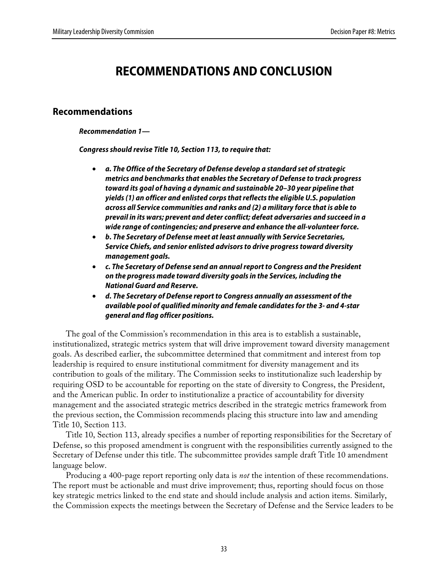# **RECOMMENDATIONS AND CONCLUSION**

### **Recommendations**

**Recommendation 1—**

**Congress should revise Title 10, Section 113, to require that:**

- **a. The Office of the Secretary of Defense develop a standard set of strategic metrics and benchmarks that enables the Secretary of Defense to track progress toward its goal of having a dynamic and sustainable 20–30 year pipeline that yields (1) an officer and enlisted corps that reflects the eligible U.S. population across all Service communities and ranks and (2) a military force that is able to prevail in its wars; prevent and deter conflict; defeat adversaries and succeed in a wide range of contingencies; and preserve and enhance the all-volunteer force.**
- **b. The Secretary of Defense meet at least annually with Service Secretaries, Service Chiefs, and senior enlisted advisors to drive progress toward diversity management goals.**
- **c. The Secretary of Defense send an annual report to Congress and the President on the progress made toward diversity goals in the Services, including the National Guard and Reserve.**
- **d. The Secretary of Defense report to Congress annually an assessment of the available pool of qualified minority and female candidates for the 3- and 4-star general and flag officer positions.**

The goal of the Commission's recommendation in this area is to establish a sustainable, institutionalized, strategic metrics system that will drive improvement toward diversity management goals. As described earlier, the subcommittee determined that commitment and interest from top leadership is required to ensure institutional commitment for diversity management and its contribution to goals of the military. The Commission seeks to institutionalize such leadership by requiring OSD to be accountable for reporting on the state of diversity to Congress, the President, and the American public. In order to institutionalize a practice of accountability for diversity management and the associated strategic metrics described in the strategic metrics framework from the previous section, the Commission recommends placing this structure into law and amending Title 10, Section 113.

Title 10, Section 113, already specifies a number of reporting responsibilities for the Secretary of Defense, so this proposed amendment is congruent with the responsibilities currently assigned to the Secretary of Defense under this title. The subcommittee provides sample draft Title 10 amendment language below.

Producing a 400-page report reporting only data is *not* the intention of these recommendations. The report must be actionable and must drive improvement; thus, reporting should focus on those key strategic metrics linked to the end state and should include analysis and action items. Similarly, the Commission expects the meetings between the Secretary of Defense and the Service leaders to be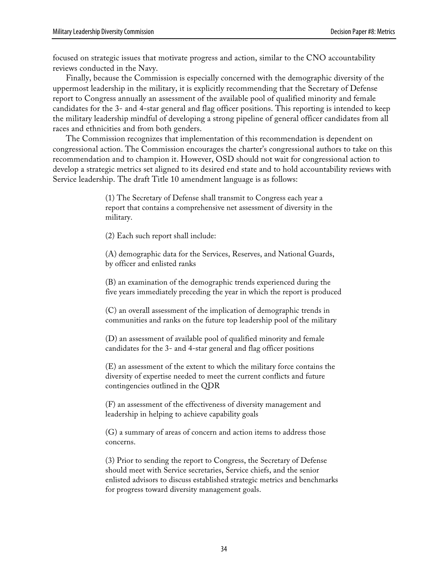focused on strategic issues that motivate progress and action, similar to the CNO accountability reviews conducted in the Navy.

Finally, because the Commission is especially concerned with the demographic diversity of the uppermost leadership in the military, it is explicitly recommending that the Secretary of Defense report to Congress annually an assessment of the available pool of qualified minority and female candidates for the 3- and 4-star general and flag officer positions. This reporting is intended to keep the military leadership mindful of developing a strong pipeline of general officer candidates from all races and ethnicities and from both genders.

The Commission recognizes that implementation of this recommendation is dependent on congressional action. The Commission encourages the charter's congressional authors to take on this recommendation and to champion it. However, OSD should not wait for congressional action to develop a strategic metrics set aligned to its desired end state and to hold accountability reviews with Service leadership. The draft Title 10 amendment language is as follows:

> (1) The Secretary of Defense shall transmit to Congress each year a report that contains a comprehensive net assessment of diversity in the military.

(2) Each such report shall include:

(A) demographic data for the Services, Reserves, and National Guards, by officer and enlisted ranks

(B) an examination of the demographic trends experienced during the five years immediately preceding the year in which the report is produced

(C) an overall assessment of the implication of demographic trends in communities and ranks on the future top leadership pool of the military

(D) an assessment of available pool of qualified minority and female candidates for the 3- and 4-star general and flag officer positions

(E) an assessment of the extent to which the military force contains the diversity of expertise needed to meet the current conflicts and future contingencies outlined in the QDR

(F) an assessment of the effectiveness of diversity management and leadership in helping to achieve capability goals

(G) a summary of areas of concern and action items to address those concerns.

(3) Prior to sending the report to Congress, the Secretary of Defense should meet with Service secretaries, Service chiefs, and the senior enlisted advisors to discuss established strategic metrics and benchmarks for progress toward diversity management goals.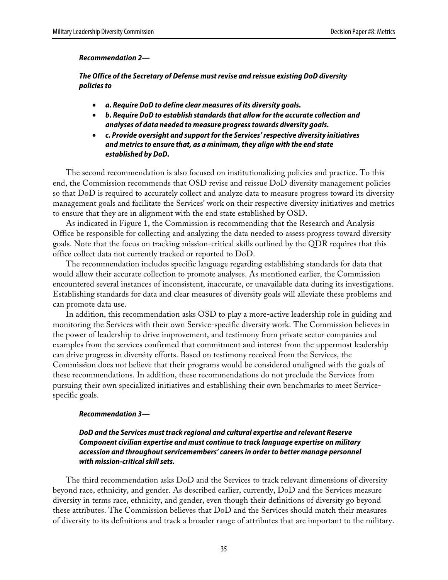#### **Recommendation 2—**

**The Office of the Secretary of Defense must revise and reissue existing DoD diversity policies to**

- **a. Require DoD to define clear measures of its diversity goals.**
- **b. Require DoD to establish standards that allow for the accurate collection and analyses of data needed to measure progress towards diversity goals.**
- **c. Provide oversight and support for the Services' respective diversity initiatives and metrics to ensure that, as a minimum, they align with the end state established by DoD.**

The second recommendation is also focused on institutionalizing policies and practice. To this end, the Commission recommends that OSD revise and reissue DoD diversity management policies so that DoD is required to accurately collect and analyze data to measure progress toward its diversity management goals and facilitate the Services' work on their respective diversity initiatives and metrics to ensure that they are in alignment with the end state established by OSD.

As indicated in Figure 1, the Commission is recommending that the Research and Analysis Office be responsible for collecting and analyzing the data needed to assess progress toward diversity goals. Note that the focus on tracking mission-critical skills outlined by the QDR requires that this office collect data not currently tracked or reported to DoD.

The recommendation includes specific language regarding establishing standards for data that would allow their accurate collection to promote analyses. As mentioned earlier, the Commission encountered several instances of inconsistent, inaccurate, or unavailable data during its investigations. Establishing standards for data and clear measures of diversity goals will alleviate these problems and can promote data use.

In addition, this recommendation asks OSD to play a more-active leadership role in guiding and monitoring the Services with their own Service-specific diversity work. The Commission believes in the power of leadership to drive improvement, and testimony from private sector companies and examples from the services confirmed that commitment and interest from the uppermost leadership can drive progress in diversity efforts. Based on testimony received from the Services, the Commission does not believe that their programs would be considered unaligned with the goals of these recommendations. In addition, these recommendations do not preclude the Services from pursuing their own specialized initiatives and establishing their own benchmarks to meet Servicespecific goals.

#### **Recommendation 3—**

### **DoD and the Services must track regional and cultural expertise and relevant Reserve Component civilian expertise and must continue to track language expertise on military accession and throughout servicemembers' careers in order to better manage personnel with mission-critical skill sets.**

The third recommendation asks DoD and the Services to track relevant dimensions of diversity beyond race, ethnicity, and gender. As described earlier, currently, DoD and the Services measure diversity in terms race, ethnicity, and gender, even though their definitions of diversity go beyond these attributes. The Commission believes that DoD and the Services should match their measures of diversity to its definitions and track a broader range of attributes that are important to the military.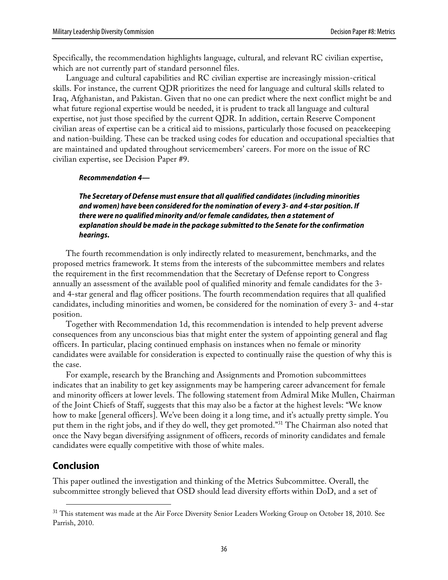Specifically, the recommendation highlights language, cultural, and relevant RC civilian expertise, which are not currently part of standard personnel files.

Language and cultural capabilities and RC civilian expertise are increasingly mission-critical skills. For instance, the current QDR prioritizes the need for language and cultural skills related to Iraq, Afghanistan, and Pakistan. Given that no one can predict where the next conflict might be and what future regional expertise would be needed, it is prudent to track all language and cultural expertise, not just those specified by the current QDR. In addition, certain Reserve Component civilian areas of expertise can be a critical aid to missions, particularly those focused on peacekeeping and nation-building. These can be tracked using codes for education and occupational specialties that are maintained and updated throughout servicemembers' careers. For more on the issue of RC civilian expertise, see Decision Paper #9.

#### **Recommendation 4—**

**The Secretary of Defense must ensure that all qualified candidates (including minorities and women) have been considered for the nomination of every 3- and 4-star position. If there were no qualified minority and/or female candidates, then a statement of explanation should be made in the package submitted to the Senate for the confirmation hearings.**

The fourth recommendation is only indirectly related to measurement, benchmarks, and the proposed metrics framework. It stems from the interests of the subcommittee members and relates the requirement in the first recommendation that the Secretary of Defense report to Congress annually an assessment of the available pool of qualified minority and female candidates for the 3 and 4-star general and flag officer positions. The fourth recommendation requires that all qualified candidates, including minorities and women, be considered for the nomination of every 3- and 4-star position.

Together with Recommendation 1d, this recommendation is intended to help prevent adverse consequences from any unconscious bias that might enter the system of appointing general and flag officers. In particular, placing continued emphasis on instances when no female or minority candidates were available for consideration is expected to continually raise the question of why this is the case.

For example, research by the Branching and Assignments and Promotion subcommittees indicates that an inability to get key assignments may be hampering career advancement for female and minority officers at lower levels. The following statement from Admiral Mike Mullen, Chairman of the Joint Chiefs of Staff, suggests that this may also be a factor at the highest levels: "We know how to make [general officers]. We've been doing it a long time, and it's actually pretty simple. You put them in the right jobs, and if they do well, they get promoted." 31 The Chairman also noted that once the Navy began diversifying assignment of officers, records of minority candidates and female candidates were equally competitive with those of white males.

### **Conclusion**

This paper outlined the investigation and thinking of the Metrics Subcommittee. Overall, the subcommittee strongly believed that OSD should lead diversity efforts within DoD, and a set of

<sup>&</sup>lt;sup>31</sup> This statement was made at the Air Force Diversity Senior Leaders Working Group on October 18, 2010. See Parrish, 2010.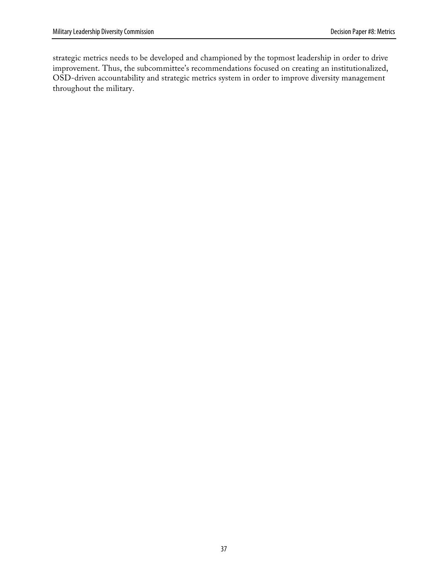strategic metrics needs to be developed and championed by the topmost leadership in order to drive improvement. Thus, the subcommittee's recommendations focused on creating an institutionalized, OSD-driven accountability and strategic metrics system in order to improve diversity management throughout the military.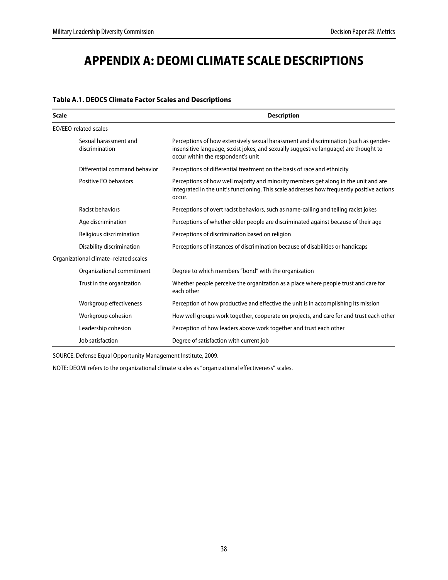# **APPENDIX A: DEOMI CLIMATE SCALE DESCRIPTIONS**

| <b>Scale</b>                            | <b>Description</b>                                                                                                                                                                                                 |  |
|-----------------------------------------|--------------------------------------------------------------------------------------------------------------------------------------------------------------------------------------------------------------------|--|
| <b>EO/EEO-related scales</b>            |                                                                                                                                                                                                                    |  |
| Sexual harassment and<br>discrimination | Perceptions of how extensively sexual harassment and discrimination (such as gender-<br>insensitive language, sexist jokes, and sexually suggestive language) are thought to<br>occur within the respondent's unit |  |
| Differential command behavior           | Perceptions of differential treatment on the basis of race and ethnicity                                                                                                                                           |  |
| Positive EO behaviors                   | Perceptions of how well majority and minority members get along in the unit and are<br>integrated in the unit's functioning. This scale addresses how frequently positive actions<br>occur.                        |  |
| Racist behaviors                        | Perceptions of overt racist behaviors, such as name-calling and telling racist jokes                                                                                                                               |  |
| Age discrimination                      | Perceptions of whether older people are discriminated against because of their age                                                                                                                                 |  |
| Religious discrimination                | Perceptions of discrimination based on religion                                                                                                                                                                    |  |
| Disability discrimination               | Perceptions of instances of discrimination because of disabilities or handicaps                                                                                                                                    |  |
| Organizational climate-related scales   |                                                                                                                                                                                                                    |  |
| Organizational commitment               | Degree to which members "bond" with the organization                                                                                                                                                               |  |
| Trust in the organization               | Whether people perceive the organization as a place where people trust and care for<br>each other                                                                                                                  |  |
| Workgroup effectiveness                 | Perception of how productive and effective the unit is in accomplishing its mission                                                                                                                                |  |
| Workgroup cohesion                      | How well groups work together, cooperate on projects, and care for and trust each other                                                                                                                            |  |
| Leadership cohesion                     | Perception of how leaders above work together and trust each other                                                                                                                                                 |  |
| Job satisfaction                        | Degree of satisfaction with current job                                                                                                                                                                            |  |

### **Table A.1. DEOCS Climate Factor Scales and Descriptions**

SOURCE: Defense Equal Opportunity Management Institute, 2009.

NOTE: DEOMI refers to the organizational climate scales as "organizational effectiveness" scales.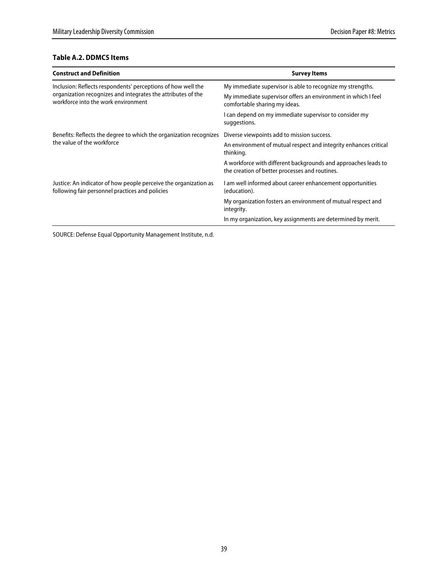### **Table A.2. DDMCS Items**

| <b>Construct and Definition</b>                                                                                                                                     | <b>Survey Items</b>                                                                                              |
|---------------------------------------------------------------------------------------------------------------------------------------------------------------------|------------------------------------------------------------------------------------------------------------------|
| Inclusion: Reflects respondents' perceptions of how well the<br>organization recognizes and integrates the attributes of the<br>workforce into the work environment | My immediate supervisor is able to recognize my strengths.                                                       |
|                                                                                                                                                                     | My immediate supervisor offers an environment in which I feel<br>comfortable sharing my ideas.                   |
|                                                                                                                                                                     | I can depend on my immediate supervisor to consider my<br>suggestions.                                           |
| Benefits: Reflects the degree to which the organization recognizes<br>the value of the workforce                                                                    | Diverse viewpoints add to mission success.                                                                       |
|                                                                                                                                                                     | An environment of mutual respect and integrity enhances critical<br>thinking.                                    |
|                                                                                                                                                                     | A workforce with different backgrounds and approaches leads to<br>the creation of better processes and routines. |
| Justice: An indicator of how people perceive the organization as<br>following fair personnel practices and policies                                                 | I am well informed about career enhancement opportunities<br>(education).                                        |
|                                                                                                                                                                     | My organization fosters an environment of mutual respect and<br>integrity.                                       |
|                                                                                                                                                                     | In my organization, key assignments are determined by merit.                                                     |

SOURCE: Defense Equal Opportunity Management Institute, n.d.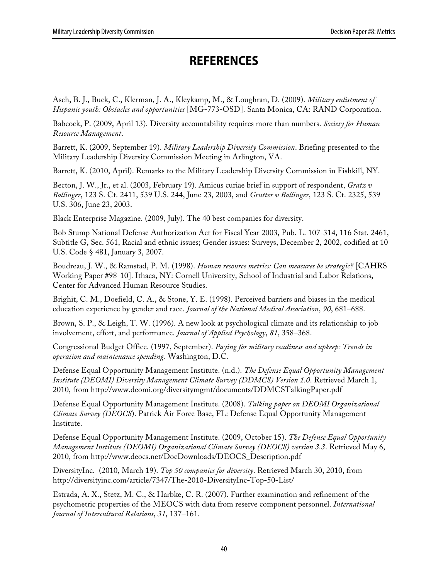# **REFERENCES**

Asch, B. J., Buck, C., Klerman, J. A., Kleykamp, M., & Loughran, D. (2009). *Military enlistment of Hispanic youth: Obstacles and opportunities* [MG-773-OSD]. Santa Monica, CA: RAND Corporation.

Babcock, P. (2009, April 13). Diversity accountability requires more than numbers. *Society for Human Resource Management*.

Barrett, K. (2009, September 19). *Military Leadership Diversity Commission*. Briefing presented to the Military Leadership Diversity Commission Meeting in Arlington, VA.

Barrett, K. (2010, April). Remarks to the Military Leadership Diversity Commission in Fishkill, NY.

Becton, J. W., Jr., et al. (2003, February 19). Amicus curiae brief in support of respondent, *Gratz v Bollinger*, 123 S. Ct. 2411, 539 U.S. 244, June 23, 2003, and *Grutter v Bollinger*, 123 S. Ct. 2325, 539 U.S. 306, June 23, 2003.

Black Enterprise Magazine. (2009, July). The 40 best companies for diversity.

Bob Stump National Defense Authorization Act for Fiscal Year 2003, Pub. L. 107-314, 116 Stat. 2461, Subtitle G, Sec. 561, Racial and ethnic issues; Gender issues: Surveys, December 2, 2002, codified at 10 U.S. Code § 481, January 3, 2007.

Boudreau, J. W., & Ramstad, P. M. (1998). *Human resource metrics: Can measures be strategic?* [CAHRS Working Paper #98-10]. Ithaca, NY: Cornell University, School of Industrial and Labor Relations, Center for Advanced Human Resource Studies.

Brighit, C. M., Doefield, C. A., & Stone, Y. E. (1998). Perceived barriers and biases in the medical education experience by gender and race. *Journal of the National Medical Association*, *90*, 681–688.

Brown, S. P., & Leigh, T. W. (1996). A new look at psychological climate and its relationship to job involvement, effort, and performance. *Journal of Applied Psychology*, *81*, 358–368.

Congressional Budget Office. (1997, September). *Paying for military readiness and upkeep: Trends in operation and maintenance spending*. Washington, D.C.

Defense Equal Opportunity Management Institute. (n.d.). *The Defense Equal Opportunity Management Institute (DEOMI) Diversity Management Climate Survey (DDMCS) Version 1.0*. Retrieved March 1, 2010, from http://www.deomi.org/diversitymgmt/documents/DDMCSTalkingPaper.pdf

Defense Equal Opportunity Management Institute. (2008). *Talking paper on DEOMI Organizational Climate Survey (DEOCS*). Patrick Air Force Base, FL: Defense Equal Opportunity Management Institute.

Defense Equal Opportunity Management Institute. (2009, October 15). *The Defense Equal Opportunity Management Institute (DEOMI) Organizational Climate Survey (DEOCS) version 3.3*. Retrieved May 6, 2010, from http://www.deocs.net/DocDownloads/DEOCS\_Description.pdf

DiversityInc. (2010, March 19). *Top 50 companies for diversity*. Retrieved March 30, 2010, from http://diversityinc.com/article/7347/The-2010-DiversityInc-Top-50-List/

Estrada, A. X., Stetz, M. C., & Harbke, C. R. (2007). Further examination and refinement of the psychometric properties of the MEOCS with data from reserve component personnel. *International Journal of Intercultural Relations*, *31*, 137–161.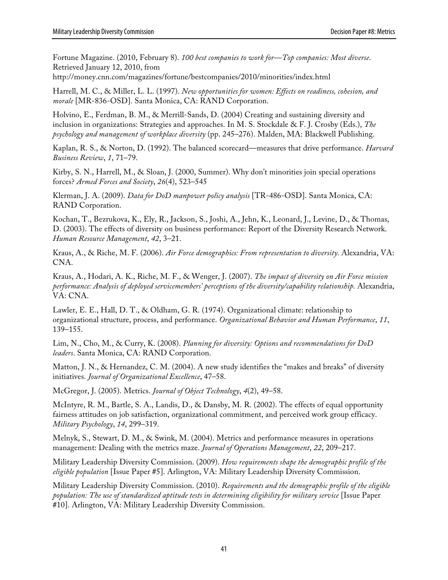Fortune Magazine. (2010, February 8). *100 best companies to work for—Top companies: Most diverse*. Retrieved January 12, 2010, from

http://money.cnn.com/magazines/fortune/bestcompanies/2010/minorities/index.html

Harrell, M. C., & Miller, L. L. (1997). *New opportunities for women: Effects on readiness, cohesion, and morale* [MR-836-OSD]*.* Santa Monica, CA: RAND Corporation.

Holvino, E., Ferdman, B. M., & Merrill-Sands, D. (2004) Creating and sustaining diversity and inclusion in organizations: Strategies and approaches. In M. S. Stockdale & F. J. Crosby (Eds.), *The psychology and management of workplace diversity* (pp. 245–276). Malden, MA: Blackwell Publishing.

Kaplan, R. S., & Norton, D. (1992). The balanced scorecard—measures that drive performance. *Harvard Business Review*, *1*, 71–79.

Kirby, S. N., Harrell, M., & Sloan, J. (2000, Summer). Why don't minorities join special operations forces? *Armed Forces and Society*, *26*(4), 523–545

Klerman, J. A. (2009). *Data for DoD manpower policy analysis* [TR-486-OSD]. Santa Monica, CA: RAND Corporation.

Kochan, T., Bezrukova, K., Ely, R., Jackson, S., Joshi, A., Jehn, K., Leonard, J., Levine, D., & Thomas, D. (2003). The effects of diversity on business performance: Report of the Diversity Research Network. *Human Resource Management*, *42*, 3–21.

Kraus, A., & Riche, M. F. (2006). *Air Force demographics: From representation to diversity.* Alexandria, VA: CNA.

Kraus, A., Hodari, A. K., Riche, M. F., & Wenger, J. (2007). *The impact of diversity on Air Force mission performance: Analysis of deployed servicemembers' perceptions of the diversity/capability relationship.* Alexandria, VA: CNA.

Lawler, E. E., Hall, D. T., & Oldham, G. R. (1974). Organizational climate: relationship to organizational structure, process, and performance. *Organizational Behavior and Human Performance*, *11*, 139–155.

Lim, N., Cho, M., & Curry, K. (2008). *Planning for diversity: Options and recommendations for DoD leaders*. Santa Monica, CA: RAND Corporation.

Matton, J. N., & Hernandez, C. M. (2004). A new study identifies the "makes and breaks" of diversity initiatives. *Journal of Organizational Excellence*, 47–58.

McGregor, J. (2005). Metrics. *Journal of Object Technology*, *4*(2), 49–58.

McIntyre, R. M., Bartle, S. A., Landis, D., & Dansby, M. R. (2002). The effects of equal opportunity fairness attitudes on job satisfaction, organizational commitment, and perceived work group efficacy. *Military Psychology*, *14*, 299–319.

Melnyk, S., Stewart, D. M., & Swink, M. (2004). Metrics and performance measures in operations management: Dealing with the metrics maze. *Journal of Operations Management*, *22*, 209–217.

Military Leadership Diversity Commission. (2009). *How requirements shape the demographic profile of the eligible population* [Issue Paper #5]. Arlington, VA: Military Leadership Diversity Commission.

Military Leadership Diversity Commission. (2010). *Requirements and the demographic profile of the eligible population: The use of standardized aptitude tests in determining eligibility for military service* [Issue Paper #10]. Arlington, VA: Military Leadership Diversity Commission.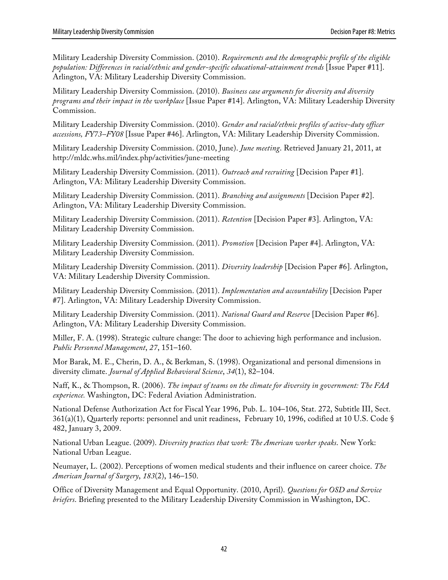Military Leadership Diversity Commission. (2010). *Requirements and the demographic profile of the eligible population: Differences in racial/ethnic and gender-specific educational-attainment trends* [Issue Paper #11]. Arlington, VA: Military Leadership Diversity Commission.

Military Leadership Diversity Commission. (2010). *Business case arguments for diversity and diversity programs and their impact in the workplace* [Issue Paper #14]. Arlington, VA: Military Leadership Diversity Commission.

Military Leadership Diversity Commission. (2010). *Gender and racial/ethnic profiles of active-duty officer accessions, FY73–FY08* [Issue Paper #46]. Arlington, VA: Military Leadership Diversity Commission.

Military Leadership Diversity Commission. (2010, June). *June meeting*. Retrieved January 21, 2011, at http://mldc.whs.mil/index.php/activities/june-meeting

Military Leadership Diversity Commission. (2011). *Outreach and recruiting* [Decision Paper #1]. Arlington, VA: Military Leadership Diversity Commission.

Military Leadership Diversity Commission. (2011). *Branching and assignments* [Decision Paper #2]. Arlington, VA: Military Leadership Diversity Commission.

Military Leadership Diversity Commission. (2011). *Retention* [Decision Paper #3]. Arlington, VA: Military Leadership Diversity Commission.

Military Leadership Diversity Commission. (2011). *Promotion* [Decision Paper #4]. Arlington, VA: Military Leadership Diversity Commission.

Military Leadership Diversity Commission. (2011). *Diversity leadership* [Decision Paper #6]. Arlington, VA: Military Leadership Diversity Commission.

Military Leadership Diversity Commission. (2011). *Implementation and accountability* [Decision Paper #7]. Arlington, VA: Military Leadership Diversity Commission.

Military Leadership Diversity Commission. (2011). *National Guard and Reserve* [Decision Paper #6]. Arlington, VA: Military Leadership Diversity Commission.

Miller, F. A. (1998). Strategic culture change: The door to achieving high performance and inclusion. *Public Personnel Management*, *27*, 151–160.

Mor Barak, M. E., Cherin, D. A., & Berkman, S. (1998). Organizational and personal dimensions in diversity climate. *Journal of Applied Behavioral Science*, *34*(1), 82–104.

Naff, K., & Thompson, R. (2006). *The impact of teams on the climate for diversity in government: The FAA experience.* Washington, DC: Federal Aviation Administration.

National Defense Authorization Act for Fiscal Year 1996, Pub. L. 104–106, Stat. 272, Subtitle III, Sect. 361(a)(1), Quarterly reports: personnel and unit readiness, February 10, 1996, codified at 10 U.S. Code § 482, January 3, 2009.

National Urban League. (2009). *Diversity practices that work: The American worker speaks*. New York: National Urban League.

Neumayer, L. (2002). Perceptions of women medical students and their influence on career choice. *The American Journal of Surgery*, *183*(2), 146–150.

Office of Diversity Management and Equal Opportunity. (2010, April). *Questions for OSD and Service briefers*. Briefing presented to the Military Leadership Diversity Commission in Washington, DC.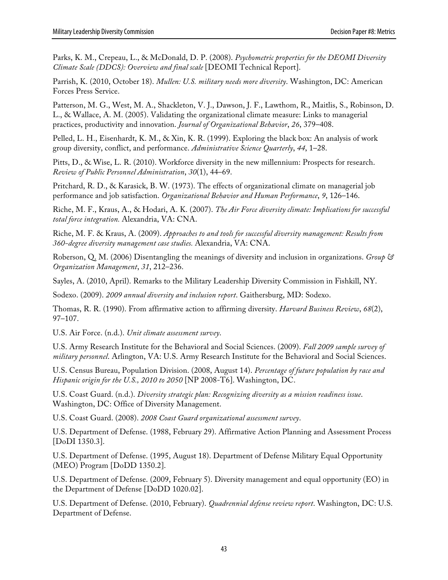Parks, K. M., Crepeau, L., & McDonald, D. P. (2008). *Psychometric properties for the DEOMI Diversity Climate Scale (DDCS): Overview and final scale* [DEOMI Technical Report].

Parrish, K. (2010, October 18). *Mullen: U.S. military needs more diversity*. Washington, DC: American Forces Press Service.

Patterson, M. G., West, M. A., Shackleton, V. J., Dawson, J. F., Lawthom, R., Maitlis, S., Robinson, D. L., & Wallace, A. M. (2005). Validating the organizational climate measure: Links to managerial practices, productivity and innovation. *Journal of Organizational Behavior*, *26*, 379–408.

Pelled, L. H., Eisenhardt, K. M., & Xin, K. R. (1999). Exploring the black box: An analysis of work group diversity, conflict, and performance. *Administrative Science Quarterly*, *44*, 1–28.

Pitts, D., & Wise, L. R. (2010). Workforce diversity in the new millennium: Prospects for research. *Review of Public Personnel Administration*, *30*(1), 44–69.

Pritchard, R. D., & Karasick, B. W. (1973). The effects of organizational climate on managerial job performance and job satisfaction. *Organizational Behavior and Human Performance*, *9*, 126–146.

Riche, M. F., Kraus, A., & Hodari, A. K. (2007). *The Air Force diversity climate: Implications for successful total force integration.* Alexandria, VA: CNA.

Riche, M. F. & Kraus, A. (2009). *Approaches to and tools for successful diversity management: Results from 360-degree diversity management case studies.* Alexandria, VA: CNA.

Roberson, Q. M. (2006) Disentangling the meanings of diversity and inclusion in organizations. *Group & Organization Management*, *31*, 212–236.

Sayles, A. (2010, April). Remarks to the Military Leadership Diversity Commission in Fishkill, NY.

Sodexo. (2009). *2009 annual diversity and inclusion report*. Gaithersburg, MD: Sodexo.

Thomas, R. R. (1990). From affirmative action to affirming diversity. *Harvard Business Review*, *68*(2), 97–107.

U.S. Air Force. (n.d.). *Unit climate assessment survey*.

U.S. Army Research Institute for the Behavioral and Social Sciences. (2009). *Fall 2009 sample survey of military personnel*. Arlington, VA: U.S. Army Research Institute for the Behavioral and Social Sciences.

U.S. Census Bureau, Population Division. (2008, August 14). *Percentage of future population by race and Hispanic origin for the U.S., 2010 to 2050* [NP 2008-T6]. Washington, DC.

U.S. Coast Guard. (n.d.). *Diversity strategic plan: Recognizing diversity as a mission readiness issue*. Washington, DC: Office of Diversity Management.

U.S. Coast Guard. (2008). *2008 Coast Guard organizational assessment survey*.

U.S. Department of Defense. (1988, February 29). Affirmative Action Planning and Assessment Process [DoDI 1350.3].

U.S. Department of Defense. (1995, August 18). Department of Defense Military Equal Opportunity (MEO) Program [DoDD 1350.2].

U.S. Department of Defense. (2009, February 5). Diversity management and equal opportunity (EO) in the Department of Defense [DoDD 1020.02].

U.S. Department of Defense. (2010, February). *Quadrennial defense review report*. Washington, DC: U.S. Department of Defense.